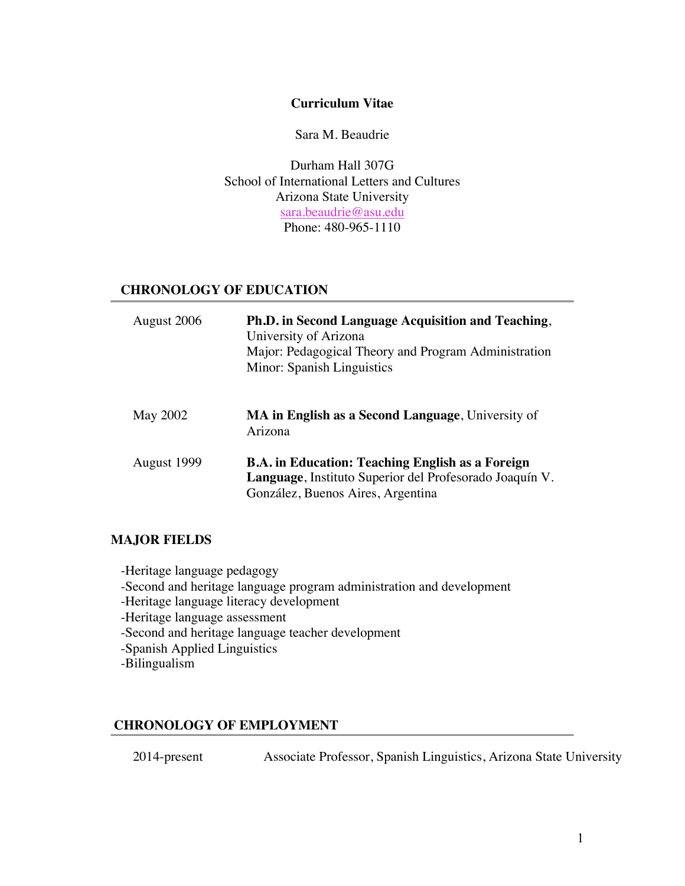## **Curriculum Vitae**

Sara M. Beaudrie

Durham Hall 307G School of International Letters and Cultures Arizona State University sara.beaudrie@asu.edu Phone: 480-965-1110

## **CHRONOLOGY OF EDUCATION**

| August 2006     | Ph.D. in Second Language Acquisition and Teaching,<br>University of Arizona<br>Major: Pedagogical Theory and Program Administration<br>Minor: Spanish Linguistics |
|-----------------|-------------------------------------------------------------------------------------------------------------------------------------------------------------------|
| <b>May 2002</b> | <b>MA in English as a Second Language</b> , University of<br>Arizona                                                                                              |
| August 1999     | <b>B.A.</b> in Education: Teaching English as a Foreign<br>Language, Instituto Superior del Profesorado Joaquín V.<br>González, Buenos Aires, Argentina           |

### **MAJOR FIELDS**

-Heritage language pedagogy -Second and heritage language program administration and development -Heritage language literacy development -Heritage language assessment -Second and heritage language teacher development -Spanish Applied Linguistics -Bilingualism

## **CHRONOLOGY OF EMPLOYMENT**

2014-present Associate Professor, Spanish Linguistics, Arizona State University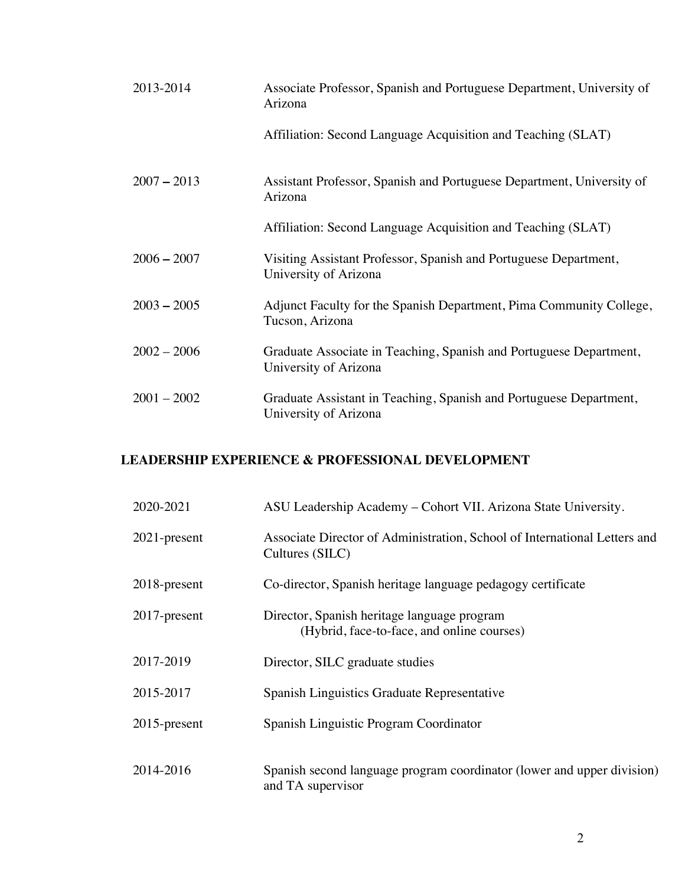| 2013-2014     | Associate Professor, Spanish and Portuguese Department, University of<br>Arizona            |
|---------------|---------------------------------------------------------------------------------------------|
|               | Affiliation: Second Language Acquisition and Teaching (SLAT)                                |
| $2007 - 2013$ | Assistant Professor, Spanish and Portuguese Department, University of<br>Arizona            |
|               | Affiliation: Second Language Acquisition and Teaching (SLAT)                                |
| $2006 - 2007$ | Visiting Assistant Professor, Spanish and Portuguese Department,<br>University of Arizona   |
| $2003 - 2005$ | Adjunct Faculty for the Spanish Department, Pima Community College,<br>Tucson, Arizona      |
| $2002 - 2006$ | Graduate Associate in Teaching, Spanish and Portuguese Department,<br>University of Arizona |
| $2001 - 2002$ | Graduate Assistant in Teaching, Spanish and Portuguese Department,<br>University of Arizona |

# **LEADERSHIP EXPERIENCE & PROFESSIONAL DEVELOPMENT**

| 2020-2021       | ASU Leadership Academy – Cohort VII. Arizona State University.                               |
|-----------------|----------------------------------------------------------------------------------------------|
| 2021-present    | Associate Director of Administration, School of International Letters and<br>Cultures (SILC) |
| 2018-present    | Co-director, Spanish heritage language pedagogy certificate                                  |
| 2017-present    | Director, Spanish heritage language program<br>(Hybrid, face-to-face, and online courses)    |
| 2017-2019       | Director, SILC graduate studies                                                              |
| 2015-2017       | Spanish Linguistics Graduate Representative                                                  |
| $2015$ -present | Spanish Linguistic Program Coordinator                                                       |
| 2014-2016       | Spanish second language program coordinator (lower and upper division)<br>and TA supervisor  |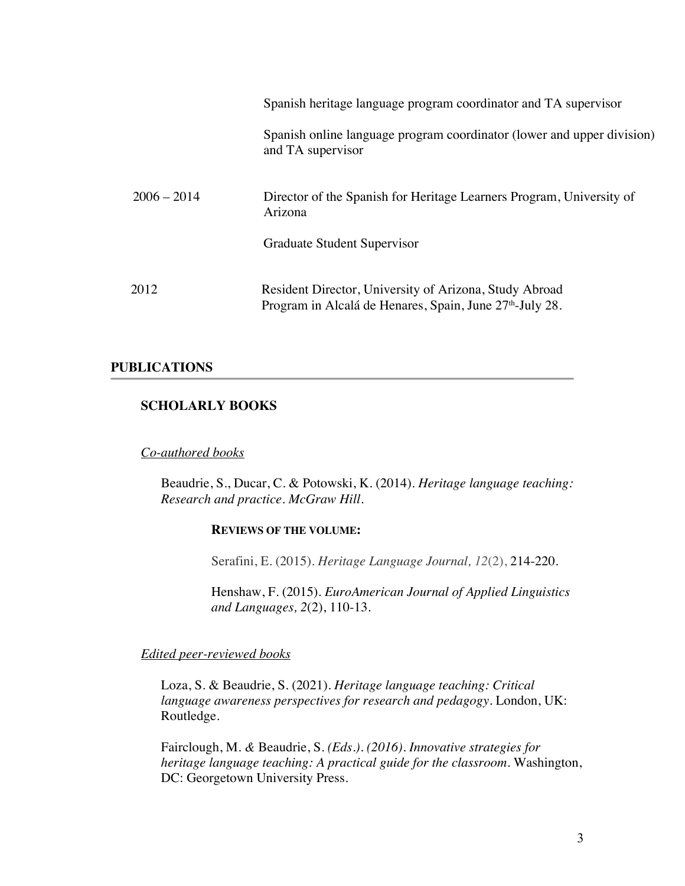|               | Spanish heritage language program coordinator and TA supervisor                                                                |
|---------------|--------------------------------------------------------------------------------------------------------------------------------|
|               | Spanish online language program coordinator (lower and upper division)<br>and TA supervisor                                    |
| $2006 - 2014$ | Director of the Spanish for Heritage Learners Program, University of<br>Arizona                                                |
|               | Graduate Student Supervisor                                                                                                    |
| 2012          | Resident Director, University of Arizona, Study Abroad<br>Program in Alcalá de Henares, Spain, June 27 <sup>th</sup> -July 28. |

## **PUBLICATIONS**

## **SCHOLARLY BOOKS**

#### *Co-authored books*

Beaudrie, S., Ducar, C. & Potowski, K. (2014). *Heritage language teaching: Research and practice. McGraw Hill.*

#### **REVIEWS OF THE VOLUME:**

Serafini, E. (2015). *Heritage Language Journal, 12*(2), 214-220.

Henshaw, F. (2015). *EuroAmerican Journal of Applied Linguistics and Languages, 2*(2), 110-13.

## *Edited peer-reviewed books*

Loza, S. & Beaudrie, S. (2021). *Heritage language teaching: Critical language awareness perspectives for research and pedagogy.* London, UK: Routledge.

Fairclough, M. *&* Beaudrie, S. *(Eds.). (2016). Innovative strategies for heritage language teaching: A practical guide for the classroom.* Washington, DC: Georgetown University Press.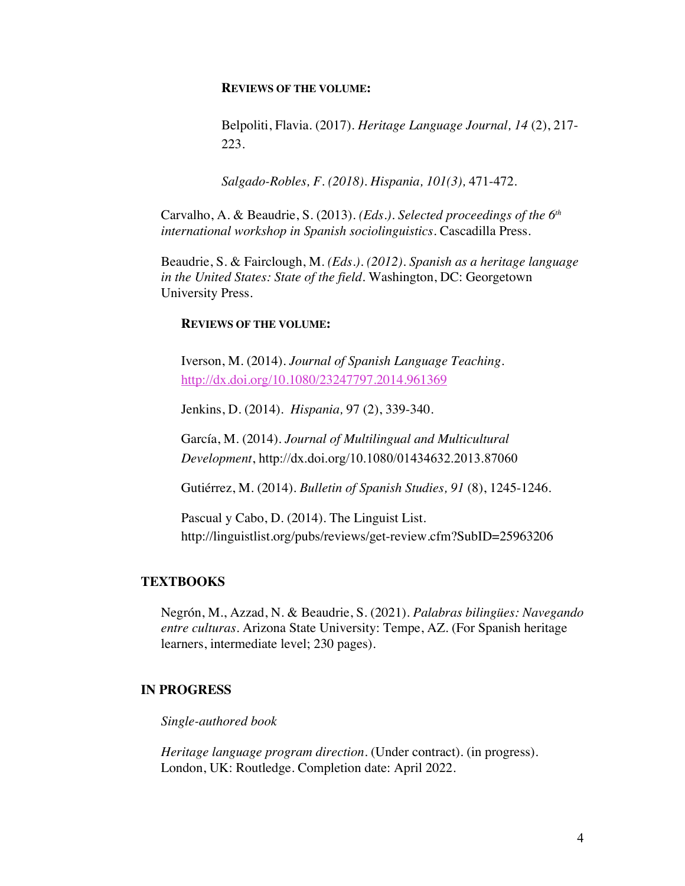#### **REVIEWS OF THE VOLUME:**

Belpoliti, Flavia. (2017). *Heritage Language Journal, 14* (2), 217- 223.

*Salgado-Robles, F. (2018). Hispania, 101(3),* 471-472.

Carvalho, A. & Beaudrie, S. (2013). *(Eds.). Selected proceedings of the 6th international workshop in Spanish sociolinguistics*. Cascadilla Press.

Beaudrie, S. & Fairclough, M. *(Eds.). (2012). Spanish as a heritage language in the United States: State of the field.* Washington, DC: Georgetown University Press.

#### **REVIEWS OF THE VOLUME:**

Iverson, M. (2014). *Journal of Spanish Language Teaching*. http://dx.doi.org/10.1080/23247797.2014.961369

Jenkins, D. (2014). *Hispania,* 97 (2), 339-340.

García, M. (2014). *Journal of Multilingual and Multicultural Development*, http://dx.doi.org/10.1080/01434632.2013.87060

Gutiérrez, M. (2014). *Bulletin of Spanish Studies, 91* (8), 1245-1246.

Pascual y Cabo, D. (2014). The Linguist List. http://linguistlist.org/pubs/reviews/get-review.cfm?SubID=25963206

#### **TEXTBOOKS**

Negrón, M., Azzad, N. & Beaudrie, S. (2021). *Palabras bilingües: Navegando entre culturas*. Arizona State University: Tempe, AZ. (For Spanish heritage learners, intermediate level; 230 pages).

## **IN PROGRESS**

*Single-authored book*

*Heritage language program direction.* (Under contract). (in progress). London, UK: Routledge. Completion date: April 2022.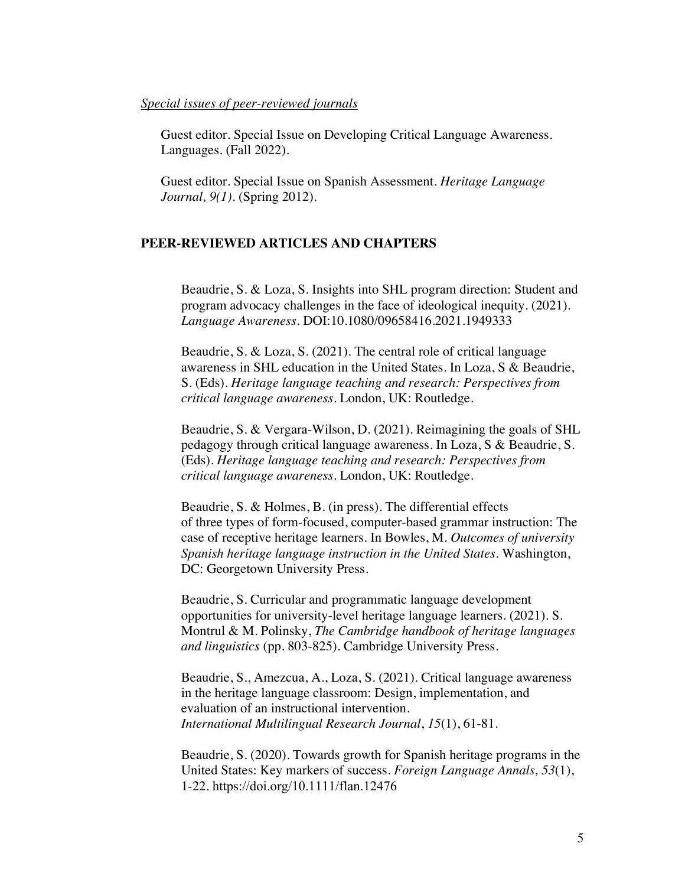#### *Special issues of peer-reviewed journals*

Guest editor. Special Issue on Developing Critical Language Awareness. Languages. (Fall 2022).

Guest editor. Special Issue on Spanish Assessment. *Heritage Language Journal, 9(1).* (Spring 2012).

#### **PEER-REVIEWED ARTICLES AND CHAPTERS**

Beaudrie, S. & Loza, S. Insights into SHL program direction: Student and program advocacy challenges in the face of ideological inequity. (2021). *Language Awareness.* DOI:10.1080/09658416.2021.1949333

Beaudrie, S. & Loza, S. (2021). The central role of critical language awareness in SHL education in the United States. In Loza, S & Beaudrie, S. (Eds). *Heritage language teaching and research: Perspectives from critical language awareness*. London, UK: Routledge.

Beaudrie, S. & Vergara-Wilson, D. (2021). Reimagining the goals of SHL pedagogy through critical language awareness. In Loza, S & Beaudrie, S. (Eds). *Heritage language teaching and research: Perspectives from critical language awareness*. London, UK: Routledge.

Beaudrie, S. & Holmes, B. (in press). The differential effects of three types of form-focused, computer-based grammar instruction: The case of receptive heritage learners. In Bowles, M. *Outcomes of university Spanish heritage language instruction in the United States*. Washington, DC: Georgetown University Press.

Beaudrie, S. Curricular and programmatic language development opportunities for university-level heritage language learners. (2021). S. Montrul & M. Polinsky, *The Cambridge handbook of heritage languages and linguistics* (pp. 803-825). Cambridge University Press.

Beaudrie, S., Amezcua, A., Loza, S. (2021). Critical language awareness in the heritage language classroom: Design, implementation, and evaluation of an instructional intervention. *International Multilingual Research Journal*, *15*(1), 61-81.

Beaudrie, S. (2020). Towards growth for Spanish heritage programs in the United States: Key markers of success. *Foreign Language Annals, 53*(1), 1-22. https://doi.org/10.1111/flan.12476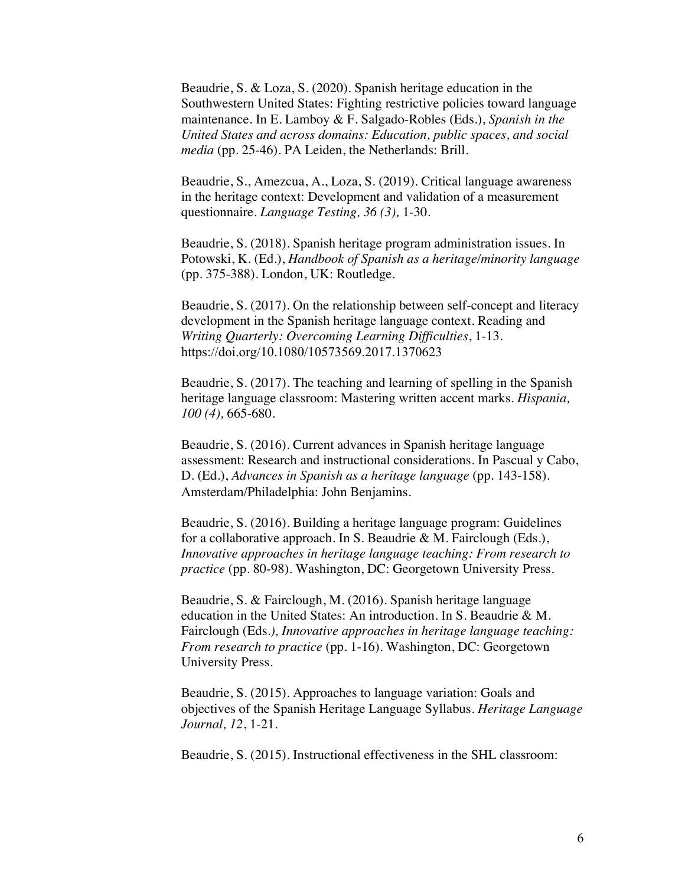Beaudrie, S. & Loza, S. (2020). Spanish heritage education in the Southwestern United States: Fighting restrictive policies toward language maintenance. In E. Lamboy & F. Salgado-Robles (Eds.), *Spanish in the United States and across domains: Education, public spaces, and social media* (pp. 25-46). PA Leiden, the Netherlands: Brill.

Beaudrie, S., Amezcua, A., Loza, S. (2019). Critical language awareness in the heritage context: Development and validation of a measurement questionnaire. *Language Testing, 36 (3),* 1-30.

Beaudrie, S. (2018). Spanish heritage program administration issues. In Potowski, K. (Ed.), *Handbook of Spanish as a heritage/minority language* (pp. 375-388). London, UK: Routledge.

Beaudrie, S. (2017). On the relationship between self-concept and literacy development in the Spanish heritage language context. Reading and *Writing Quarterly: Overcoming Learning Difficulties*, 1-13. https://doi.org/10.1080/10573569.2017.1370623

Beaudrie, S. (2017). The teaching and learning of spelling in the Spanish heritage language classroom: Mastering written accent marks. *Hispania, 100 (4),* 665-680.

Beaudrie, S. (2016). Current advances in Spanish heritage language assessment: Research and instructional considerations. In Pascual y Cabo, D. (Ed.), *Advances in Spanish as a heritage language* (pp. 143-158). Amsterdam/Philadelphia: John Benjamins.

Beaudrie, S. (2016). Building a heritage language program: Guidelines for a collaborative approach. In S. Beaudrie & M. Fairclough (Eds.), *Innovative approaches in heritage language teaching: From research to practice* (pp. 80-98). Washington, DC: Georgetown University Press.

Beaudrie, S. & Fairclough, M. (2016). Spanish heritage language education in the United States: An introduction. In S. Beaudrie & M. Fairclough (Eds*.), Innovative approaches in heritage language teaching: From research to practice* (pp. 1-16). Washington, DC: Georgetown University Press.

Beaudrie, S. (2015). Approaches to language variation: Goals and objectives of the Spanish Heritage Language Syllabus. *Heritage Language Journal, 12*, 1-21.

Beaudrie, S. (2015). Instructional effectiveness in the SHL classroom: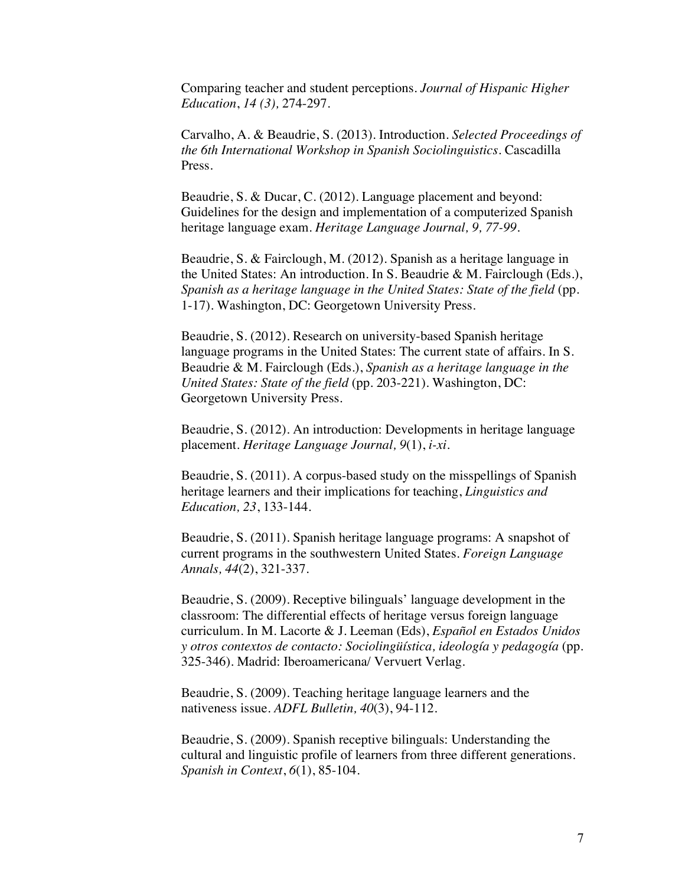Comparing teacher and student perceptions. *Journal of Hispanic Higher Education*, *14 (3),* 274-297.

Carvalho, A. & Beaudrie, S. (2013). Introduction. *Selected Proceedings of the 6th International Workshop in Spanish Sociolinguistics*. Cascadilla Press.

Beaudrie, S. & Ducar, C. (2012). Language placement and beyond: Guidelines for the design and implementation of a computerized Spanish heritage language exam. *Heritage Language Journal, 9, 77-99.*

Beaudrie, S. & Fairclough, M. (2012). Spanish as a heritage language in the United States: An introduction. In S. Beaudrie & M. Fairclough (Eds.), *Spanish as a heritage language in the United States: State of the field* (pp. 1-17)*.* Washington, DC: Georgetown University Press.

Beaudrie, S. (2012). Research on university-based Spanish heritage language programs in the United States: The current state of affairs. In S. Beaudrie & M. Fairclough (Eds.), *Spanish as a heritage language in the United States: State of the field* (pp. 203-221). Washington, DC: Georgetown University Press.

Beaudrie, S. (2012). An introduction: Developments in heritage language placement. *Heritage Language Journal, 9*(1), *i-xi.*

Beaudrie, S. (2011). A corpus-based study on the misspellings of Spanish heritage learners and their implications for teaching, *Linguistics and Education, 23*, 133-144.

Beaudrie, S. (2011). Spanish heritage language programs: A snapshot of current programs in the southwestern United States. *Foreign Language Annals, 44*(2), 321-337.

Beaudrie, S. (2009). Receptive bilinguals' language development in the classroom: The differential effects of heritage versus foreign language curriculum. In M. Lacorte & J. Leeman (Eds), *Español en Estados Unidos y otros contextos de contacto: Sociolingüística, ideología y pedagogía* (pp. 325-346). Madrid: Iberoamericana/ Vervuert Verlag.

Beaudrie, S. (2009). Teaching heritage language learners and the nativeness issue. *ADFL Bulletin, 40*(3), 94-112.

Beaudrie, S. (2009). Spanish receptive bilinguals: Understanding the cultural and linguistic profile of learners from three different generations. *Spanish in Context*, *6*(1), 85-104.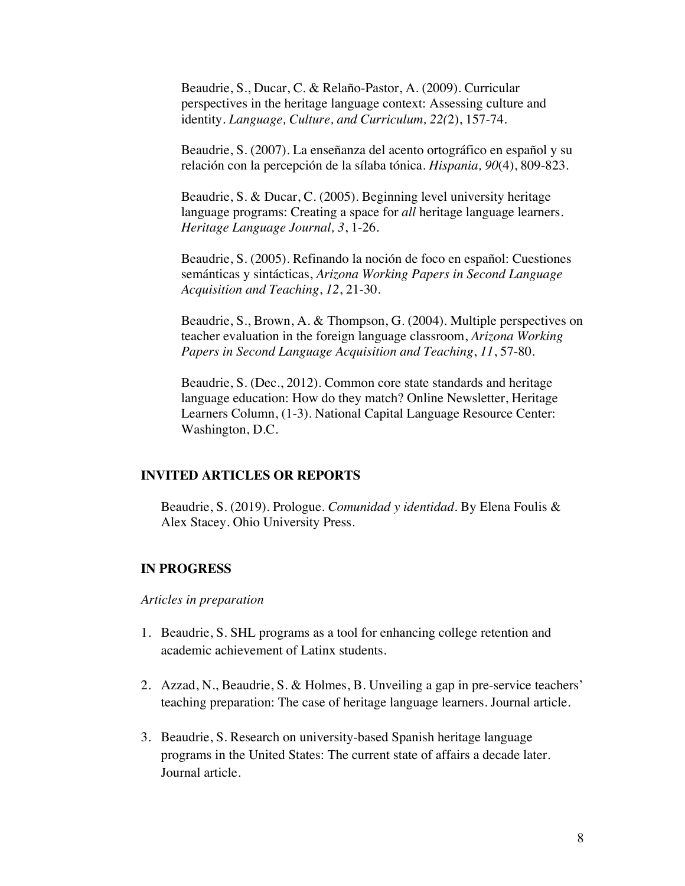Beaudrie, S., Ducar, C. & Relaño-Pastor, A. (2009). Curricular perspectives in the heritage language context: Assessing culture and identity. *Language, Culture, and Curriculum, 22(*2), 157-74.

Beaudrie, S. (2007). La enseñanza del acento ortográfico en español y su relación con la percepción de la sílaba tónica. *Hispania, 90*(4), 809-823.

Beaudrie, S. & Ducar, C. (2005). Beginning level university heritage language programs: Creating a space for *all* heritage language learners. *Heritage Language Journal, 3*, 1-26.

Beaudrie, S. (2005). Refinando la noción de foco en español: Cuestiones semánticas y sintácticas, *Arizona Working Papers in Second Language Acquisition and Teaching*, *12*, 21-30.

Beaudrie, S., Brown, A. & Thompson, G. (2004). Multiple perspectives on teacher evaluation in the foreign language classroom, *Arizona Working Papers in Second Language Acquisition and Teaching*, *11*, 57-80.

Beaudrie, S. (Dec., 2012). Common core state standards and heritage language education: How do they match? Online Newsletter, Heritage Learners Column, (1-3). National Capital Language Resource Center: Washington, D.C.

#### **INVITED ARTICLES OR REPORTS**

Beaudrie, S. (2019). Prologue. *Comunidad y identidad.* By Elena Foulis & Alex Stacey. Ohio University Press.

#### **IN PROGRESS**

*Articles in preparation*

- 1. Beaudrie, S. SHL programs as a tool for enhancing college retention and academic achievement of Latinx students.
- 2. Azzad, N., Beaudrie, S. & Holmes, B. Unveiling a gap in pre-service teachers' teaching preparation: The case of heritage language learners. Journal article.
- 3. Beaudrie, S. Research on university-based Spanish heritage language programs in the United States: The current state of affairs a decade later. Journal article.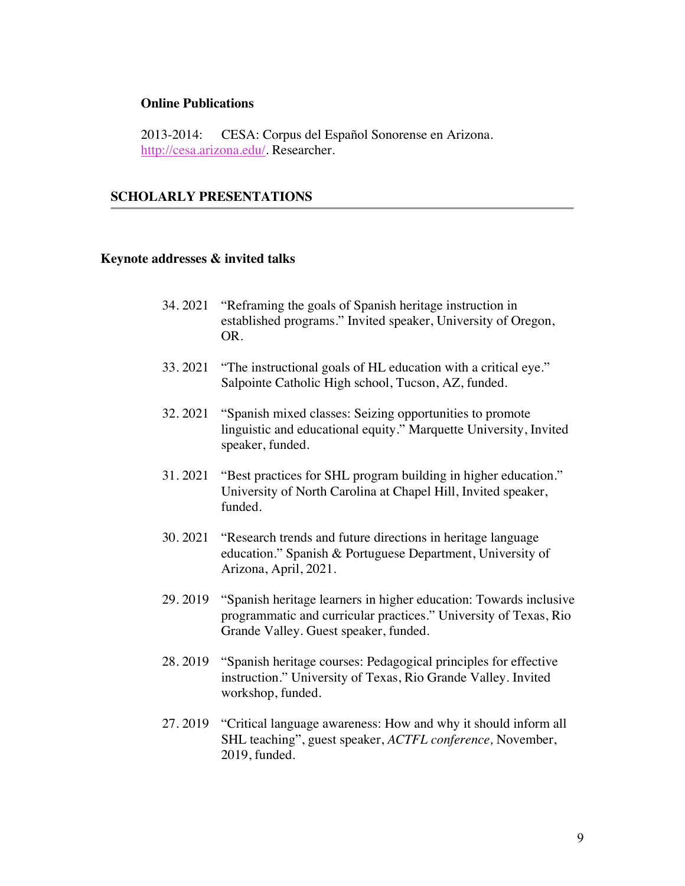#### **Online Publications**

2013-2014: CESA: Corpus del Español Sonorense en Arizona. http://cesa.arizona.edu/. Researcher.

## **SCHOLARLY PRESENTATIONS**

#### **Keynote addresses & invited talks**

- 34. 2021 "Reframing the goals of Spanish heritage instruction in established programs." Invited speaker, University of Oregon, OR.
- 33. 2021 "The instructional goals of HL education with a critical eye." Salpointe Catholic High school, Tucson, AZ, funded.
- 32. 2021 "Spanish mixed classes: Seizing opportunities to promote linguistic and educational equity." Marquette University, Invited speaker, funded.
- 31. 2021 "Best practices for SHL program building in higher education." University of North Carolina at Chapel Hill, Invited speaker, funded.
- 30. 2021 "Research trends and future directions in heritage language education." Spanish & Portuguese Department, University of Arizona, April, 2021.
- 29. 2019 "Spanish heritage learners in higher education: Towards inclusive programmatic and curricular practices." University of Texas, Rio Grande Valley. Guest speaker, funded.
- 28. 2019 "Spanish heritage courses: Pedagogical principles for effective instruction." University of Texas, Rio Grande Valley. Invited workshop, funded.
- 27. 2019 "Critical language awareness: How and why it should inform all SHL teaching", guest speaker, *ACTFL conference,* November, 2019, funded.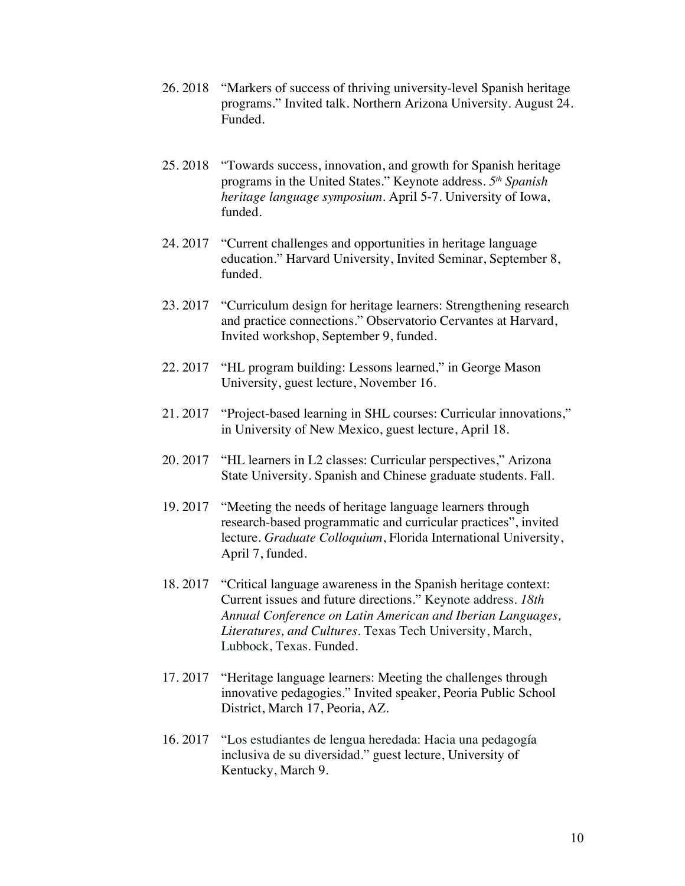- 26. 2018 "Markers of success of thriving university-level Spanish heritage programs." Invited talk. Northern Arizona University. August 24. Funded.
- 25. 2018 "Towards success, innovation, and growth for Spanish heritage programs in the United States." Keynote address. *5th Spanish heritage language symposium*. April 5-7. University of Iowa, funded.
- 24. 2017 "Current challenges and opportunities in heritage language education." Harvard University, Invited Seminar, September 8, funded.
- 23. 2017 "Curriculum design for heritage learners: Strengthening research and practice connections." Observatorio Cervantes at Harvard, Invited workshop, September 9, funded.
- 22. 2017 "HL program building: Lessons learned," in George Mason University, guest lecture, November 16.
- 21. 2017 "Project-based learning in SHL courses: Curricular innovations," in University of New Mexico, guest lecture, April 18.
- 20. 2017 "HL learners in L2 classes: Curricular perspectives," Arizona State University. Spanish and Chinese graduate students. Fall.
- 19. 2017 "Meeting the needs of heritage language learners through research-based programmatic and curricular practices", invited lecture. *Graduate Colloquium*, Florida International University, April 7, funded.
- 18. 2017 "Critical language awareness in the Spanish heritage context: Current issues and future directions." Keynote address. *18th Annual Conference on Latin American and Iberian Languages, Literatures, and Cultures.* Texas Tech University, March, Lubbock, Texas. Funded.
- 17. 2017 "Heritage language learners: Meeting the challenges through innovative pedagogies." Invited speaker, Peoria Public School District, March 17, Peoria, AZ.
- 16. 2017 "Los estudiantes de lengua heredada: Hacia una pedagogía inclusiva de su diversidad." guest lecture, University of Kentucky, March 9.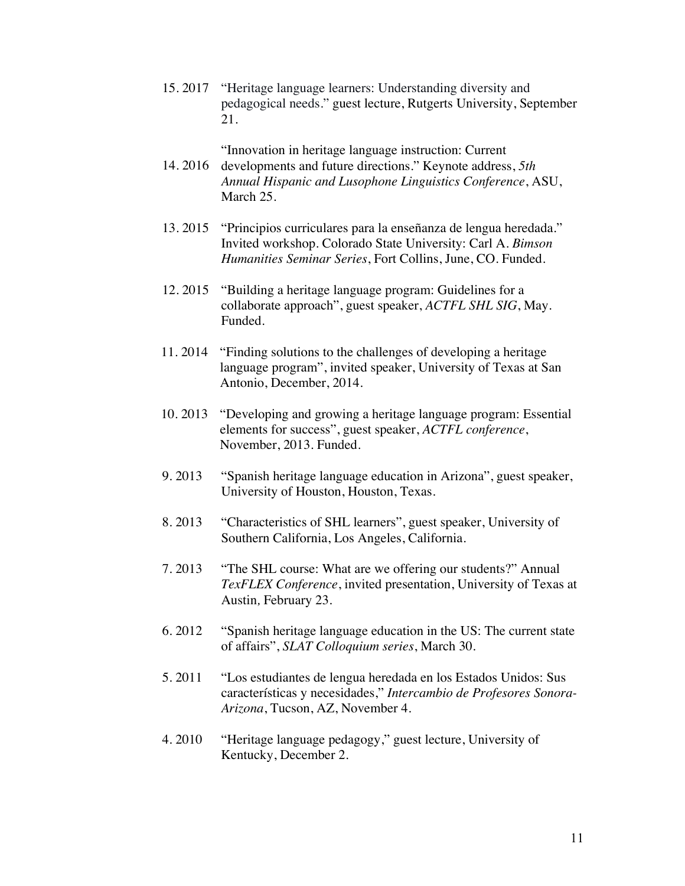15. 2017 "Heritage language learners: Understanding diversity and pedagogical needs." guest lecture, Rutgerts University, September 21.

## "Innovation in heritage language instruction: Current

- 14. 2016 developments and future directions." Keynote address, *5th Annual Hispanic and Lusophone Linguistics Conference*, ASU, March 25.
- 13. 2015 "Principios curriculares para la enseñanza de lengua heredada." Invited workshop. Colorado State University: Carl A. *Bimson Humanities Seminar Series*, Fort Collins, June, CO. Funded.
- 12. 2015 "Building a heritage language program: Guidelines for a collaborate approach", guest speaker, *ACTFL SHL SIG*, May. Funded.
- 11. 2014 "Finding solutions to the challenges of developing a heritage language program", invited speaker, University of Texas at San Antonio, December, 2014.
- 10. 2013 "Developing and growing a heritage language program: Essential elements for success", guest speaker, *ACTFL conference*, November, 2013. Funded.
- 9. 2013 "Spanish heritage language education in Arizona", guest speaker, University of Houston, Houston, Texas.
- 8. 2013 "Characteristics of SHL learners", guest speaker, University of Southern California, Los Angeles, California.
- 7. 2013 "The SHL course: What are we offering our students?" Annual *TexFLEX Conference*, invited presentation, University of Texas at Austin*,* February 23.
- 6. 2012 "Spanish heritage language education in the US: The current state of affairs", *SLAT Colloquium series*, March 30.
- 5. 2011 "Los estudiantes de lengua heredada en los Estados Unidos: Sus características y necesidades," *Intercambio de Profesores Sonora-Arizona*, Tucson, AZ, November 4.
- 4. 2010 "Heritage language pedagogy," guest lecture, University of Kentucky, December 2.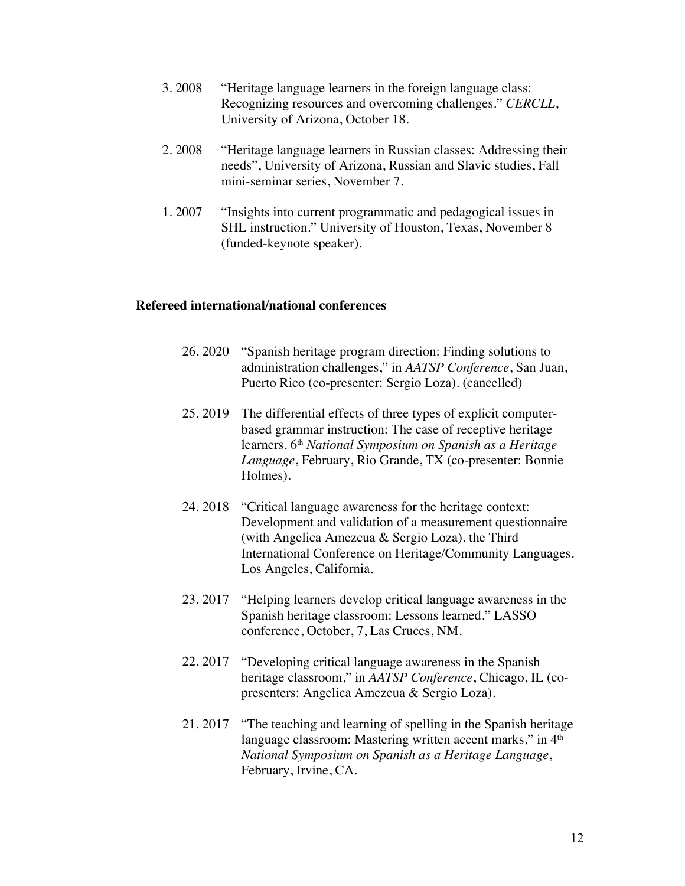- 3. 2008 "Heritage language learners in the foreign language class: Recognizing resources and overcoming challenges." *CERCLL*, University of Arizona, October 18.
- 2. 2008 "Heritage language learners in Russian classes: Addressing their needs", University of Arizona, Russian and Slavic studies, Fall mini-seminar series, November 7.
- 1. 2007 "Insights into current programmatic and pedagogical issues in SHL instruction." University of Houston, Texas, November 8 (funded-keynote speaker).

#### **Refereed international/national conferences**

- 26. 2020 "Spanish heritage program direction: Finding solutions to administration challenges," in *AATSP Conference*, San Juan, Puerto Rico (co-presenter: Sergio Loza). (cancelled)
- 25. 2019 The differential effects of three types of explicit computerbased grammar instruction: The case of receptive heritage learners. 6th *National Symposium on Spanish as a Heritage Language*, February, Rio Grande, TX (co-presenter: Bonnie Holmes).
- 24. 2018 "Critical language awareness for the heritage context: Development and validation of a measurement questionnaire (with Angelica Amezcua & Sergio Loza). the Third International Conference on Heritage/Community Languages. Los Angeles, California.
- 23. 2017 "Helping learners develop critical language awareness in the Spanish heritage classroom: Lessons learned." LASSO conference, October, 7, Las Cruces, NM.
- 22. 2017 "Developing critical language awareness in the Spanish heritage classroom," in *AATSP Conference*, Chicago, IL (copresenters: Angelica Amezcua & Sergio Loza).
	- 21. 2017 "The teaching and learning of spelling in the Spanish heritage language classroom: Mastering written accent marks," in 4<sup>th</sup> *National Symposium on Spanish as a Heritage Language*, February, Irvine, CA.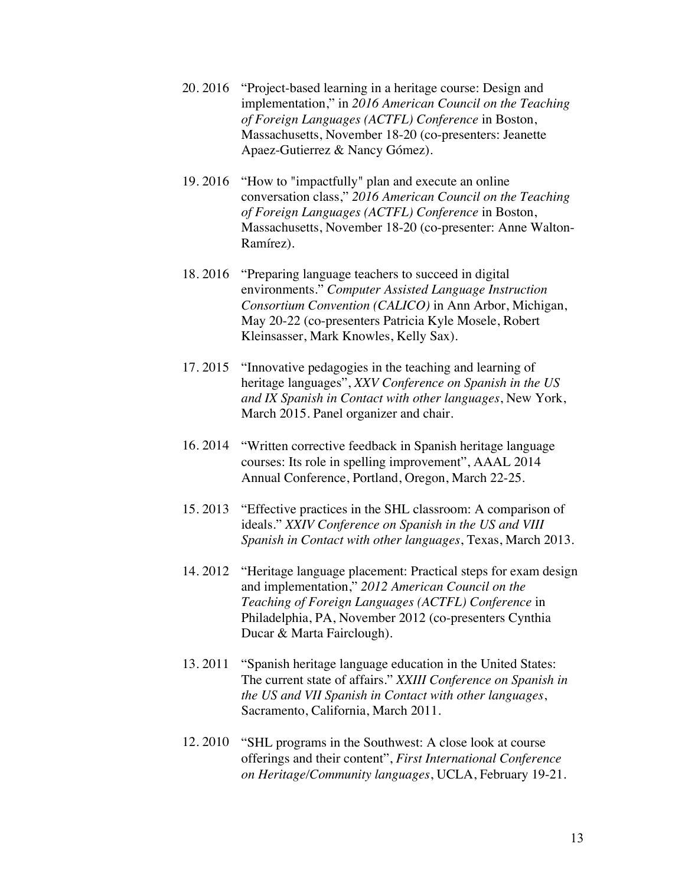- 20. 2016 "Project-based learning in a heritage course: Design and implementation," in *2016 American Council on the Teaching of Foreign Languages (ACTFL) Conference* in Boston, Massachusetts, November 18-20 (co-presenters: Jeanette Apaez-Gutierrez & Nancy Gómez).
- 19. 2016 "How to "impactfully" plan and execute an online conversation class," *2016 American Council on the Teaching of Foreign Languages (ACTFL) Conference* in Boston, Massachusetts, November 18-20 (co-presenter: Anne Walton-Ramírez).
- 18. 2016 "Preparing language teachers to succeed in digital environments." *Computer Assisted Language Instruction Consortium Convention (CALICO)* in Ann Arbor, Michigan, May 20-22 (co-presenters Patricia Kyle Mosele, Robert Kleinsasser, Mark Knowles, Kelly Sax).
- 17. 2015 "Innovative pedagogies in the teaching and learning of heritage languages", *XXV Conference on Spanish in the US and IX Spanish in Contact with other languages*, New York, March 2015. Panel organizer and chair.
- 16. 2014 "Written corrective feedback in Spanish heritage language courses: Its role in spelling improvement", AAAL 2014 Annual Conference, Portland, Oregon, March 22-25.
- 15. 2013 "Effective practices in the SHL classroom: A comparison of ideals." *XXIV Conference on Spanish in the US and VIII Spanish in Contact with other languages*, Texas, March 2013.
- 14. 2012 "Heritage language placement: Practical steps for exam design and implementation," *2012 American Council on the Teaching of Foreign Languages (ACTFL) Conference* in Philadelphia, PA, November 2012 (co-presenters Cynthia Ducar & Marta Fairclough).
- 13. 2011 "Spanish heritage language education in the United States: The current state of affairs." *XXIII Conference on Spanish in the US and VII Spanish in Contact with other languages*, Sacramento, California, March 2011.
- 12. 2010 "SHL programs in the Southwest: A close look at course offerings and their content", *First International Conference on Heritage/Community languages*, UCLA, February 19-21.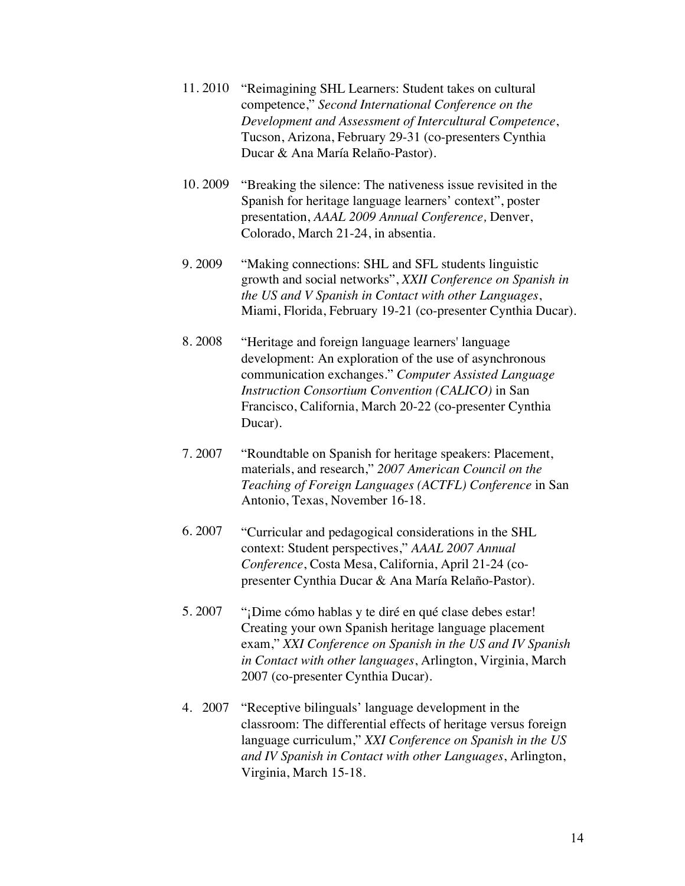- 11. 2010 "Reimagining SHL Learners: Student takes on cultural competence," *Second International Conference on the Development and Assessment of Intercultural Competence*, Tucson, Arizona, February 29-31 (co-presenters Cynthia Ducar & Ana María Relaño-Pastor).
- 10. 2009 "Breaking the silence: The nativeness issue revisited in the Spanish for heritage language learners' context", poster presentation, *AAAL 2009 Annual Conference,* Denver, Colorado, March 21-24, in absentia.
- 9. 2009 "Making connections: SHL and SFL students linguistic growth and social networks", *XXII Conference on Spanish in the US and V Spanish in Contact with other Languages*, Miami, Florida, February 19-21 (co-presenter Cynthia Ducar).
- 8. 2008 "Heritage and foreign language learners' language development: An exploration of the use of asynchronous communication exchanges." *Computer Assisted Language Instruction Consortium Convention (CALICO)* in San Francisco, California, March 20-22 (co-presenter Cynthia Ducar).
- 7. 2007 "Roundtable on Spanish for heritage speakers: Placement, materials, and research," *2007 American Council on the Teaching of Foreign Languages (ACTFL) Conference* in San Antonio, Texas, November 16-18.
- 6. 2007 "Curricular and pedagogical considerations in the SHL context: Student perspectives," *AAAL 2007 Annual Conference*, Costa Mesa, California, April 21-24 (copresenter Cynthia Ducar & Ana María Relaño-Pastor).
- 5. 2007 "¡Dime cómo hablas y te diré en qué clase debes estar! Creating your own Spanish heritage language placement exam," *XXI Conference on Spanish in the US and IV Spanish in Contact with other languages*, Arlington, Virginia, March 2007 (co-presenter Cynthia Ducar).
- 4. 2007 "Receptive bilinguals' language development in the classroom: The differential effects of heritage versus foreign language curriculum," *XXI Conference on Spanish in the US and IV Spanish in Contact with other Languages*, Arlington, Virginia, March 15-18.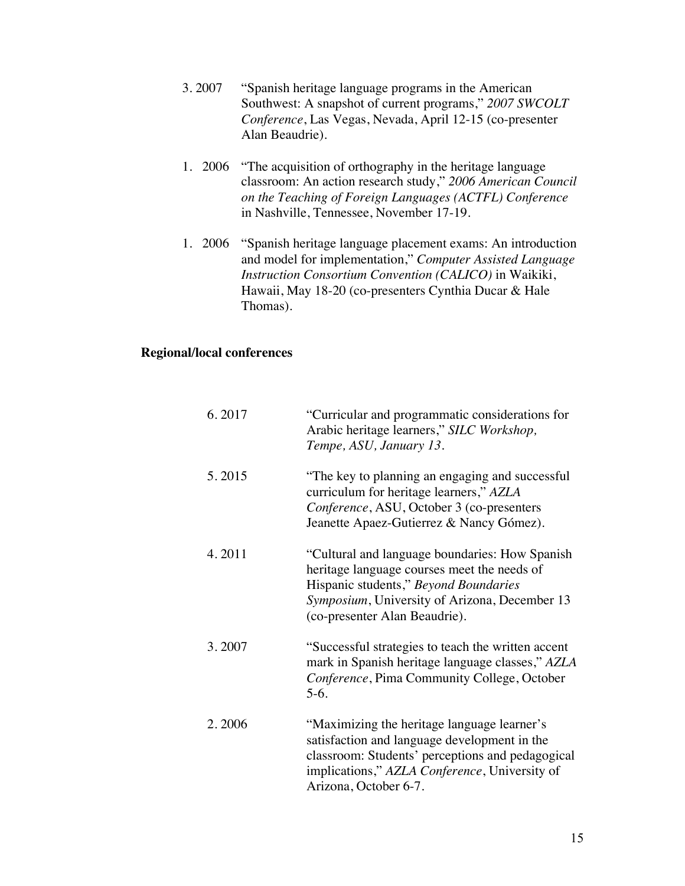- 3. 2007 "Spanish heritage language programs in the American Southwest: A snapshot of current programs," *2007 SWCOLT Conference*, Las Vegas, Nevada, April 12-15 (co-presenter Alan Beaudrie).
- 1. 2006 "The acquisition of orthography in the heritage language classroom: An action research study," *2006 American Council on the Teaching of Foreign Languages (ACTFL) Conference* in Nashville, Tennessee, November 17-19.
- 1. 2006 "Spanish heritage language placement exams: An introduction and model for implementation," *Computer Assisted Language Instruction Consortium Convention (CALICO)* in Waikiki, Hawaii, May 18-20 (co-presenters Cynthia Ducar & Hale Thomas).

#### **Regional/local conferences**

| 6.2017 | "Curricular and programmatic considerations for<br>Arabic heritage learners," SILC Workshop,<br>Tempe, ASU, January 13.                                                                                                   |
|--------|---------------------------------------------------------------------------------------------------------------------------------------------------------------------------------------------------------------------------|
| 5.2015 | "The key to planning an engaging and successful<br>curriculum for heritage learners," AZLA<br>Conference, ASU, October 3 (co-presenters<br>Jeanette Apaez-Gutierrez & Nancy Gómez).                                       |
| 4.2011 | "Cultural and language boundaries: How Spanish<br>heritage language courses meet the needs of<br>Hispanic students," Beyond Boundaries<br>Symposium, University of Arizona, December 13<br>(co-presenter Alan Beaudrie).  |
| 3.2007 | "Successful strategies to teach the written accent"<br>mark in Spanish heritage language classes," AZLA<br>Conference, Pima Community College, October<br>$5-6.$                                                          |
| 2.2006 | "Maximizing the heritage language learner's<br>satisfaction and language development in the<br>classroom: Students' perceptions and pedagogical<br>implications," AZLA Conference, University of<br>Arizona, October 6-7. |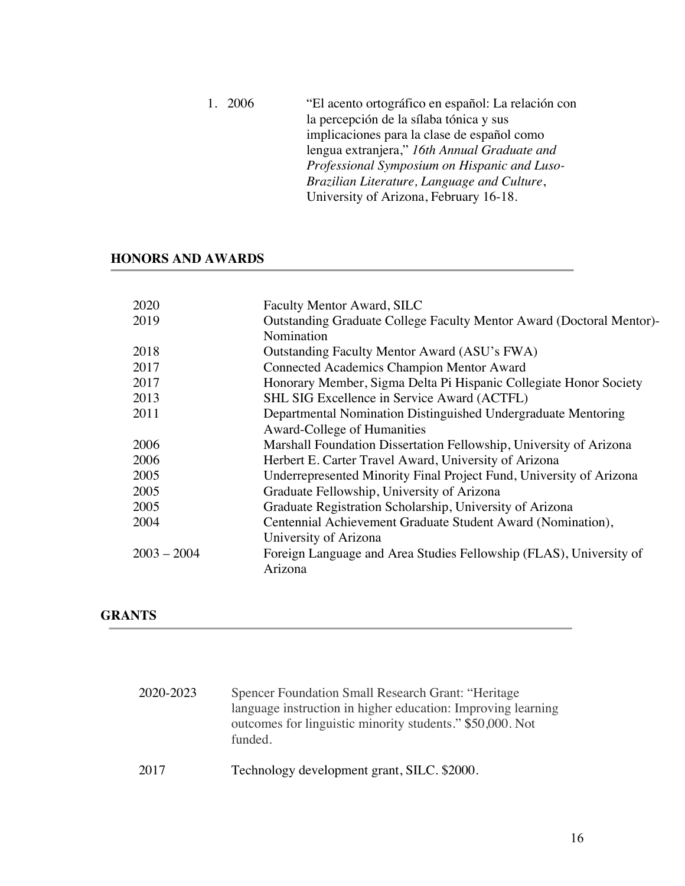1. 2006 "El acento ortográfico en español: La relación con la percepción de la sílaba tónica y sus implicaciones para la clase de español como lengua extranjera," *16th Annual Graduate and Professional Symposium on Hispanic and Luso-Brazilian Literature, Language and Culture*, University of Arizona, February 16-18.

## **HONORS AND AWARDS**

| 2020          | Faculty Mentor Award, SILC                                           |
|---------------|----------------------------------------------------------------------|
| 2019          | Outstanding Graduate College Faculty Mentor Award (Doctoral Mentor)- |
|               | Nomination                                                           |
| 2018          | Outstanding Faculty Mentor Award (ASU's FWA)                         |
| 2017          | <b>Connected Academics Champion Mentor Award</b>                     |
| 2017          | Honorary Member, Sigma Delta Pi Hispanic Collegiate Honor Society    |
| 2013          | SHL SIG Excellence in Service Award (ACTFL)                          |
| 2011          | Departmental Nomination Distinguished Undergraduate Mentoring        |
|               | Award-College of Humanities                                          |
| 2006          | Marshall Foundation Dissertation Fellowship, University of Arizona   |
| 2006          | Herbert E. Carter Travel Award, University of Arizona                |
| 2005          | Underrepresented Minority Final Project Fund, University of Arizona  |
| 2005          | Graduate Fellowship, University of Arizona                           |
| 2005          | Graduate Registration Scholarship, University of Arizona             |
| 2004          | Centennial Achievement Graduate Student Award (Nomination),          |
|               | University of Arizona                                                |
| $2003 - 2004$ | Foreign Language and Area Studies Fellowship (FLAS), University of   |
|               | Arizona                                                              |
|               |                                                                      |

## **GRANTS**

| 2020-2023 | Spencer Foundation Small Research Grant: "Heritage<br>language instruction in higher education: Improving learning<br>outcomes for linguistic minority students." \$50,000. Not<br>funded. |
|-----------|--------------------------------------------------------------------------------------------------------------------------------------------------------------------------------------------|
| 2017      | Technology development grant, SILC. \$2000.                                                                                                                                                |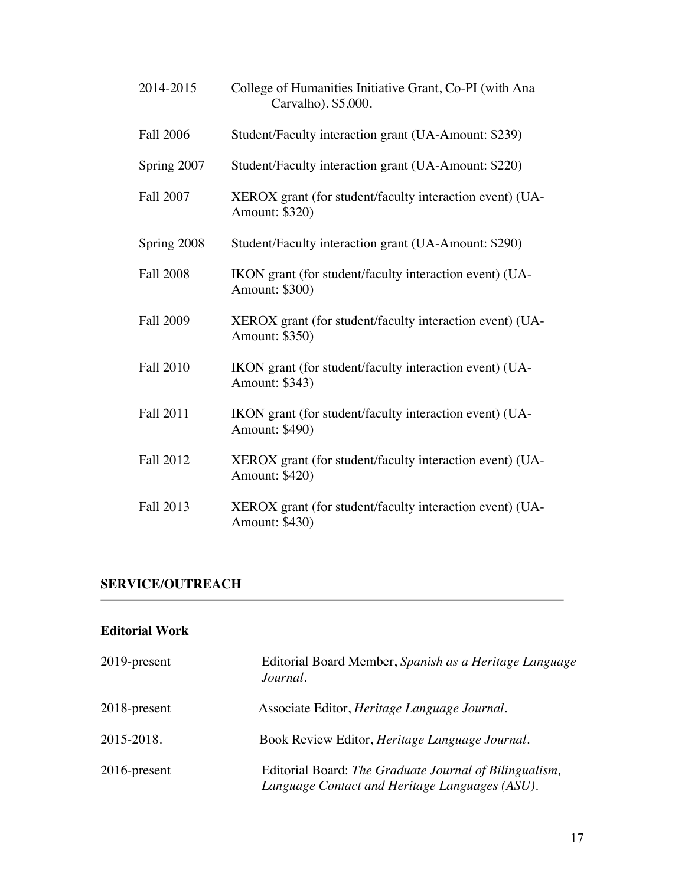| 2014-2015        | College of Humanities Initiative Grant, Co-PI (with Ana<br>Carvalho). \$5,000. |
|------------------|--------------------------------------------------------------------------------|
| <b>Fall 2006</b> | Student/Faculty interaction grant (UA-Amount: \$239)                           |
| Spring 2007      | Student/Faculty interaction grant (UA-Amount: \$220)                           |
| <b>Fall 2007</b> | XEROX grant (for student/faculty interaction event) (UA-<br>Amount: \$320)     |
| Spring 2008      | Student/Faculty interaction grant (UA-Amount: \$290)                           |
| <b>Fall 2008</b> | IKON grant (for student/faculty interaction event) (UA-<br>Amount: \$300)      |
| <b>Fall 2009</b> | XEROX grant (for student/faculty interaction event) (UA-<br>Amount: \$350)     |
| <b>Fall 2010</b> | IKON grant (for student/faculty interaction event) (UA-<br>Amount: \$343)      |
| <b>Fall 2011</b> | IKON grant (for student/faculty interaction event) (UA-<br>Amount: \$490)      |
| <b>Fall 2012</b> | XEROX grant (for student/faculty interaction event) (UA-<br>Amount: \$420)     |
| <b>Fall 2013</b> | XEROX grant (for student/faculty interaction event) (UA-<br>Amount: \$430)     |

# **SERVICE/OUTREACH**

# **Editorial Work**

| 2019-present    | Editorial Board Member, Spanish as a Heritage Language<br>Journal.                                       |
|-----------------|----------------------------------------------------------------------------------------------------------|
| 2018-present    | Associate Editor, <i>Heritage Language Journal</i> .                                                     |
| 2015-2018.      | Book Review Editor, <i>Heritage Language Journal</i> .                                                   |
| $2016$ -present | Editorial Board: The Graduate Journal of Bilingualism,<br>Language Contact and Heritage Languages (ASU). |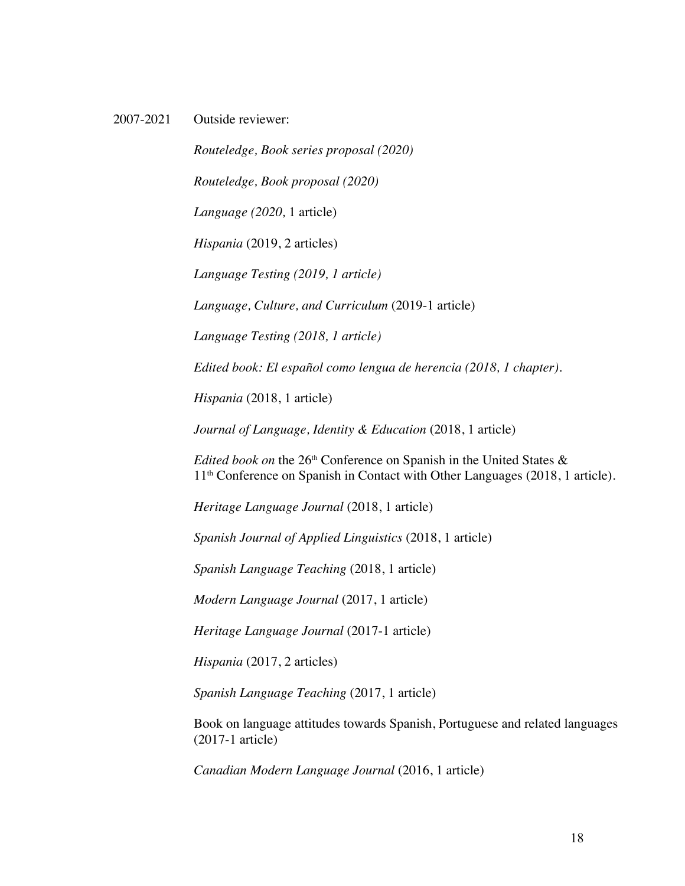2007-2021 Outside reviewer:

*Routeledge, Book series proposal (2020) Routeledge, Book proposal (2020) Language (2020,* 1 article) *Hispania* (2019, 2 articles) *Language Testing (2019, 1 article) Language, Culture, and Curriculum* (2019-1 article) *Language Testing (2018, 1 article) Edited book: El español como lengua de herencia (2018, 1 chapter)*. *Hispania* (2018, 1 article)

*Journal of Language, Identity & Education* (2018, 1 article)

*Edited book on* the 26th Conference on Spanish in the United States & 11th Conference on Spanish in Contact with Other Languages (2018, 1 article).

*Heritage Language Journal* (2018, 1 article)

*Spanish Journal of Applied Linguistics* (2018, 1 article)

*Spanish Language Teaching* (2018, 1 article)

*Modern Language Journal* (2017, 1 article)

*Heritage Language Journal* (2017-1 article)

*Hispania* (2017, 2 articles)

*Spanish Language Teaching* (2017, 1 article)

Book on language attitudes towards Spanish, Portuguese and related languages (2017-1 article)

*Canadian Modern Language Journal* (2016, 1 article)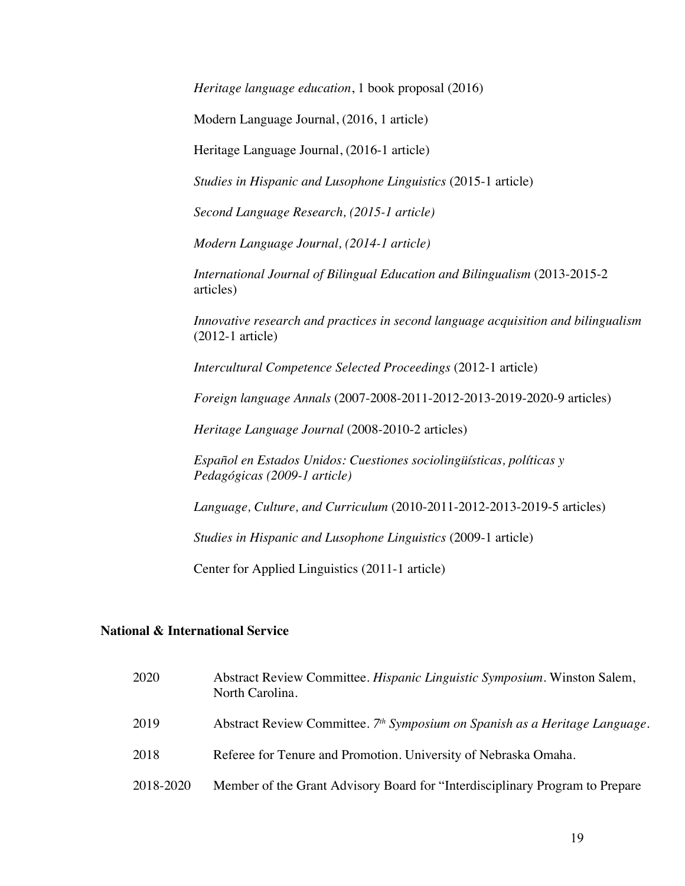*Heritage language education*, 1 book proposal (2016)

Modern Language Journal, (2016, 1 article)

Heritage Language Journal, (2016-1 article)

*Studies in Hispanic and Lusophone Linguistics* (2015-1 article)

*Second Language Research, (2015-1 article)* 

*Modern Language Journal, (2014-1 article)*

*International Journal of Bilingual Education and Bilingualism* (2013-2015-2 articles)

*Innovative research and practices in second language acquisition and bilingualism* (2012-1 article)

*Intercultural Competence Selected Proceedings* (2012-1 article)

*Foreign language Annals* (2007-2008-2011-2012-2013-2019-2020-9 articles)

*Heritage Language Journal* (2008-2010-2 articles)

*Español en Estados Unidos: Cuestiones sociolingüísticas, políticas y Pedagógicas (2009-1 article)*

*Language, Culture, and Curriculum* (2010-2011-2012-2013-2019-5 articles)

*Studies in Hispanic and Lusophone Linguistics* (2009-1 article)

Center for Applied Linguistics (2011-1 article)

#### **National & International Service**

| 2020      | Abstract Review Committee. Hispanic Linguistic Symposium. Winston Salem,<br>North Carolina. |
|-----------|---------------------------------------------------------------------------------------------|
| 2019      | Abstract Review Committee. 7 <sup>th</sup> Symposium on Spanish as a Heritage Language.     |
| 2018      | Referee for Tenure and Promotion. University of Nebraska Omaha.                             |
| 2018-2020 | Member of the Grant Advisory Board for "Interdisciplinary Program to Prepare                |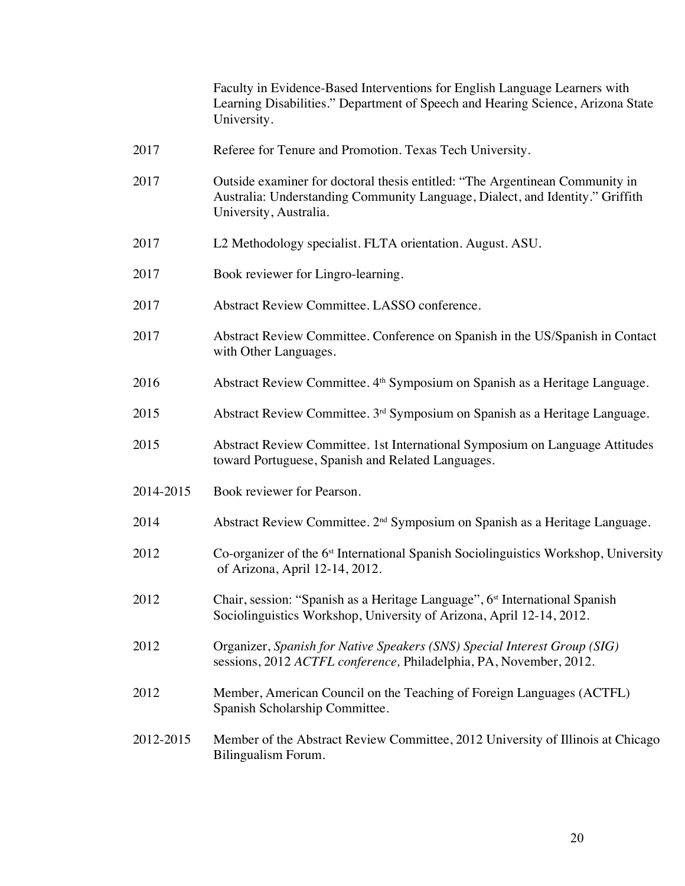Faculty in Evidence-Based Interventions for English Language Learners with Learning Disabilities." Department of Speech and Hearing Science, Arizona State University.

- 2017 Referee for Tenure and Promotion. Texas Tech University.
- 2017 Outside examiner for doctoral thesis entitled: "The Argentinean Community in Australia: Understanding Community Language, Dialect, and Identity." Griffith University, Australia.
- 2017 L2 Methodology specialist. FLTA orientation. August. ASU.
- 2017 Book reviewer for Lingro-learning.
- 2017 Abstract Review Committee. LASSO conference.
- 2017 Abstract Review Committee. Conference on Spanish in the US/Spanish in Contact with Other Languages.
- 2016 Abstract Review Committee. 4th Symposium on Spanish as a Heritage Language.
- 2015 Abstract Review Committee. 3rd Symposium on Spanish as a Heritage Language.
- 2015 Abstract Review Committee. 1st International Symposium on Language Attitudes toward Portuguese, Spanish and Related Languages.
- 2014-2015 Book reviewer for Pearson.
- 2014 Abstract Review Committee. 2nd Symposium on Spanish as a Heritage Language.
- 2012 Co-organizer of the 6st International Spanish Sociolinguistics Workshop, University of Arizona, April 12-14, 2012.
- 2012 Chair, session: "Spanish as a Heritage Language", 6<sup>st</sup> International Spanish Sociolinguistics Workshop, University of Arizona, April 12-14, 2012.
- 2012 Organizer, *Spanish for Native Speakers (SNS) Special Interest Group (SIG)* sessions, 2012 *ACTFL conference,* Philadelphia, PA, November, 2012.
- 2012 Member, American Council on the Teaching of Foreign Languages (ACTFL) Spanish Scholarship Committee.
- 2012-2015 Member of the Abstract Review Committee, 2012 University of Illinois at Chicago Bilingualism Forum.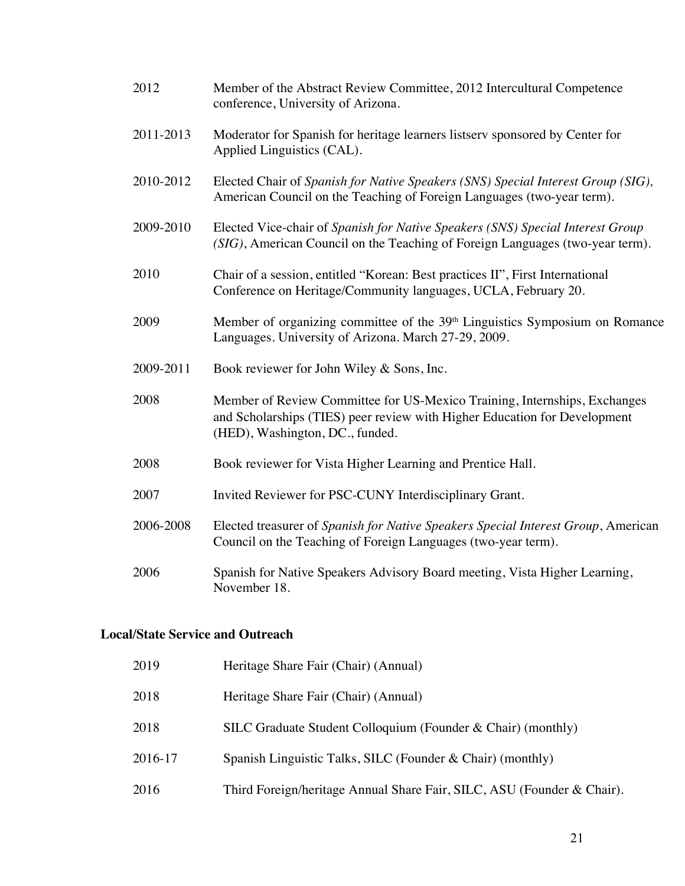| 2012      | Member of the Abstract Review Committee, 2012 Intercultural Competence<br>conference, University of Arizona.                                                                              |
|-----------|-------------------------------------------------------------------------------------------------------------------------------------------------------------------------------------------|
| 2011-2013 | Moderator for Spanish for heritage learners listserv sponsored by Center for<br>Applied Linguistics (CAL).                                                                                |
| 2010-2012 | Elected Chair of Spanish for Native Speakers (SNS) Special Interest Group (SIG),<br>American Council on the Teaching of Foreign Languages (two-year term).                                |
| 2009-2010 | Elected Vice-chair of Spanish for Native Speakers (SNS) Special Interest Group<br>(SIG), American Council on the Teaching of Foreign Languages (two-year term).                           |
| 2010      | Chair of a session, entitled "Korean: Best practices II", First International<br>Conference on Heritage/Community languages, UCLA, February 20.                                           |
| 2009      | Member of organizing committee of the 39 <sup>th</sup> Linguistics Symposium on Romance<br>Languages. University of Arizona. March 27-29, 2009.                                           |
| 2009-2011 | Book reviewer for John Wiley & Sons, Inc.                                                                                                                                                 |
| 2008      | Member of Review Committee for US-Mexico Training, Internships, Exchanges<br>and Scholarships (TIES) peer review with Higher Education for Development<br>(HED), Washington, DC., funded. |
| 2008      | Book reviewer for Vista Higher Learning and Prentice Hall.                                                                                                                                |
| 2007      | Invited Reviewer for PSC-CUNY Interdisciplinary Grant.                                                                                                                                    |
| 2006-2008 | Elected treasurer of Spanish for Native Speakers Special Interest Group, American<br>Council on the Teaching of Foreign Languages (two-year term).                                        |
| 2006      | Spanish for Native Speakers Advisory Board meeting, Vista Higher Learning,<br>November 18.                                                                                                |

# **Local/State Service and Outreach**

| 2019    | Heritage Share Fair (Chair) (Annual)                                   |
|---------|------------------------------------------------------------------------|
| 2018    | Heritage Share Fair (Chair) (Annual)                                   |
| 2018    | SILC Graduate Student Colloquium (Founder & Chair) (monthly)           |
| 2016-17 | Spanish Linguistic Talks, SILC (Founder & Chair) (monthly)             |
| 2016    | Third Foreign/heritage Annual Share Fair, SILC, ASU (Founder & Chair). |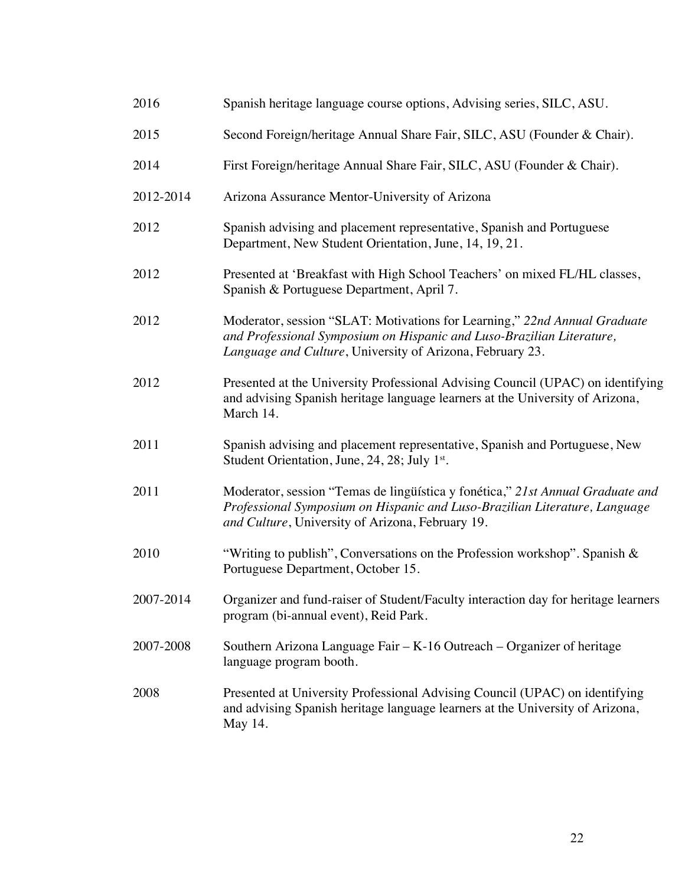| 2016      | Spanish heritage language course options, Advising series, SILC, ASU.                                                                                                                                            |
|-----------|------------------------------------------------------------------------------------------------------------------------------------------------------------------------------------------------------------------|
| 2015      | Second Foreign/heritage Annual Share Fair, SILC, ASU (Founder & Chair).                                                                                                                                          |
| 2014      | First Foreign/heritage Annual Share Fair, SILC, ASU (Founder & Chair).                                                                                                                                           |
| 2012-2014 | Arizona Assurance Mentor-University of Arizona                                                                                                                                                                   |
| 2012      | Spanish advising and placement representative, Spanish and Portuguese<br>Department, New Student Orientation, June, 14, 19, 21.                                                                                  |
| 2012      | Presented at 'Breakfast with High School Teachers' on mixed FL/HL classes,<br>Spanish & Portuguese Department, April 7.                                                                                          |
| 2012      | Moderator, session "SLAT: Motivations for Learning," 22nd Annual Graduate<br>and Professional Symposium on Hispanic and Luso-Brazilian Literature,<br>Language and Culture, University of Arizona, February 23.  |
| 2012      | Presented at the University Professional Advising Council (UPAC) on identifying<br>and advising Spanish heritage language learners at the University of Arizona,<br>March 14.                                    |
| 2011      | Spanish advising and placement representative, Spanish and Portuguese, New<br>Student Orientation, June, 24, 28; July 1st.                                                                                       |
| 2011      | Moderator, session "Temas de lingüística y fonética," 21st Annual Graduate and<br>Professional Symposium on Hispanic and Luso-Brazilian Literature, Language<br>and Culture, University of Arizona, February 19. |
| 2010      | "Writing to publish", Conversations on the Profession workshop". Spanish $\&$<br>Portuguese Department, October 15.                                                                                              |
| 2007-2014 | Organizer and fund-raiser of Student/Faculty interaction day for heritage learners<br>program (bi-annual event), Reid Park.                                                                                      |
| 2007-2008 | Southern Arizona Language Fair – K-16 Outreach – Organizer of heritage<br>language program booth.                                                                                                                |
| 2008      | Presented at University Professional Advising Council (UPAC) on identifying<br>and advising Spanish heritage language learners at the University of Arizona,<br>May 14.                                          |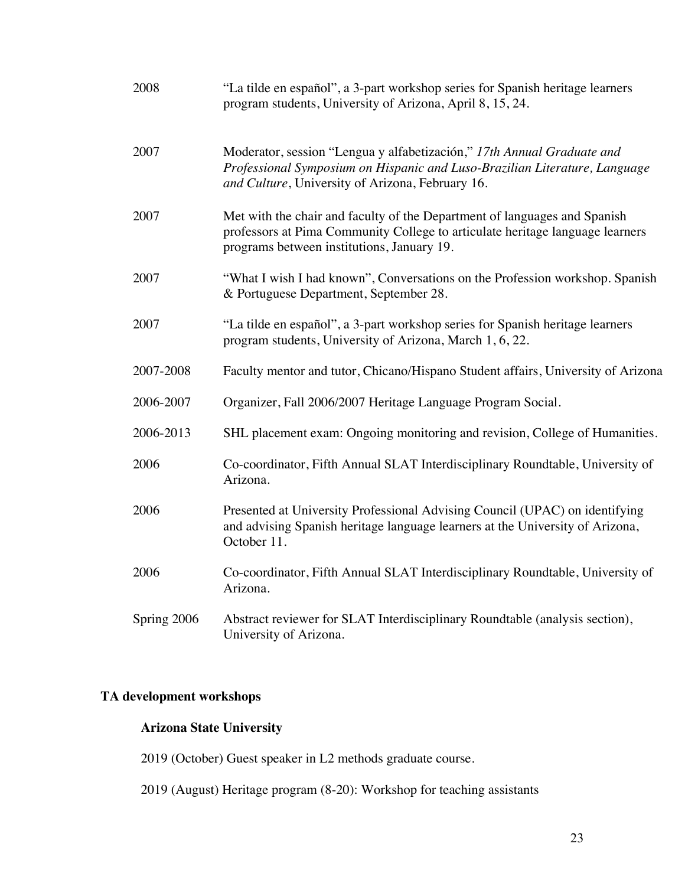| 2008        | "La tilde en español", a 3-part workshop series for Spanish heritage learners<br>program students, University of Arizona, April 8, 15, 24.                                                               |
|-------------|----------------------------------------------------------------------------------------------------------------------------------------------------------------------------------------------------------|
| 2007        | Moderator, session "Lengua y alfabetización," 17th Annual Graduate and<br>Professional Symposium on Hispanic and Luso-Brazilian Literature, Language<br>and Culture, University of Arizona, February 16. |
| 2007        | Met with the chair and faculty of the Department of languages and Spanish<br>professors at Pima Community College to articulate heritage language learners<br>programs between institutions, January 19. |
| 2007        | "What I wish I had known", Conversations on the Profession workshop. Spanish<br>& Portuguese Department, September 28.                                                                                   |
| 2007        | "La tilde en español", a 3-part workshop series for Spanish heritage learners<br>program students, University of Arizona, March 1, 6, 22.                                                                |
| 2007-2008   | Faculty mentor and tutor, Chicano/Hispano Student affairs, University of Arizona                                                                                                                         |
| 2006-2007   | Organizer, Fall 2006/2007 Heritage Language Program Social.                                                                                                                                              |
| 2006-2013   | SHL placement exam: Ongoing monitoring and revision, College of Humanities.                                                                                                                              |
| 2006        | Co-coordinator, Fifth Annual SLAT Interdisciplinary Roundtable, University of<br>Arizona.                                                                                                                |
| 2006        | Presented at University Professional Advising Council (UPAC) on identifying<br>and advising Spanish heritage language learners at the University of Arizona,<br>October 11.                              |
| 2006        | Co-coordinator, Fifth Annual SLAT Interdisciplinary Roundtable, University of<br>Arizona.                                                                                                                |
| Spring 2006 | Abstract reviewer for SLAT Interdisciplinary Roundtable (analysis section),<br>University of Arizona.                                                                                                    |

# **TA development workshops**

# **Arizona State University**

2019 (October) Guest speaker in L2 methods graduate course.

2019 (August) Heritage program (8-20): Workshop for teaching assistants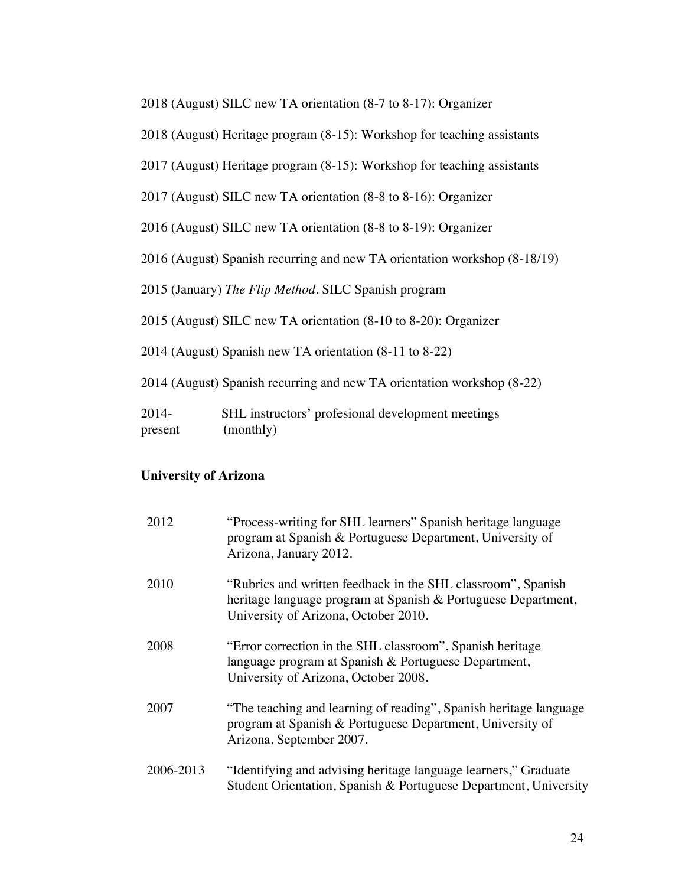2018 (August) SILC new TA orientation (8-7 to 8-17): Organizer

2018 (August) Heritage program (8-15): Workshop for teaching assistants

2017 (August) Heritage program (8-15): Workshop for teaching assistants

2017 (August) SILC new TA orientation (8-8 to 8-16): Organizer

2016 (August) SILC new TA orientation (8-8 to 8-19): Organizer

2016 (August) Spanish recurring and new TA orientation workshop (8-18/19)

2015 (January) *The Flip Method.* SILC Spanish program

2015 (August) SILC new TA orientation (8-10 to 8-20): Organizer

2014 (August) Spanish new TA orientation (8-11 to 8-22)

2014 (August) Spanish recurring and new TA orientation workshop (8-22)

2014- SHL instructors' profesional development meetings present **(**monthly)

## **University of Arizona**

| 2012      | "Process-writing for SHL learners" Spanish heritage language<br>program at Spanish & Portuguese Department, University of<br>Arizona, January 2012.                   |
|-----------|-----------------------------------------------------------------------------------------------------------------------------------------------------------------------|
| 2010      | "Rubrics and written feedback in the SHL classroom", Spanish<br>heritage language program at Spanish & Portuguese Department,<br>University of Arizona, October 2010. |
| 2008      | "Error correction in the SHL classroom", Spanish heritage<br>language program at Spanish & Portuguese Department,<br>University of Arizona, October 2008.             |
| 2007      | "The teaching and learning of reading", Spanish heritage language<br>program at Spanish & Portuguese Department, University of<br>Arizona, September 2007.            |
| 2006-2013 | "Identifying and advising heritage language learners," Graduate<br>Student Orientation, Spanish & Portuguese Department, University                                   |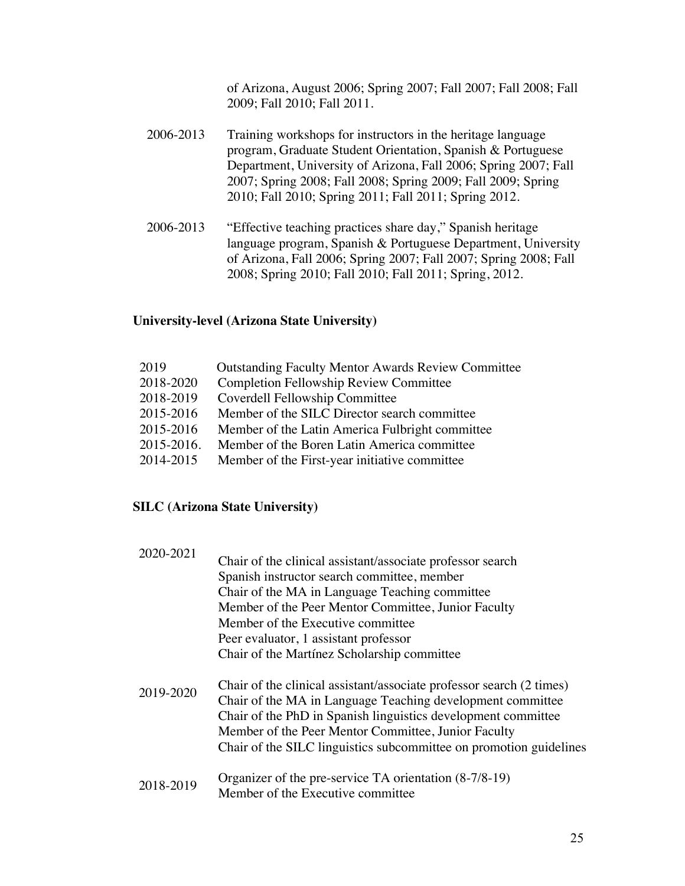of Arizona, August 2006; Spring 2007; Fall 2007; Fall 2008; Fall 2009; Fall 2010; Fall 2011.

- 2006-2013 Training workshops for instructors in the heritage language program, Graduate Student Orientation, Spanish & Portuguese Department, University of Arizona, Fall 2006; Spring 2007; Fall 2007; Spring 2008; Fall 2008; Spring 2009; Fall 2009; Spring 2010; Fall 2010; Spring 2011; Fall 2011; Spring 2012.
- 2006-2013 "Effective teaching practices share day," Spanish heritage language program, Spanish & Portuguese Department, University of Arizona, Fall 2006; Spring 2007; Fall 2007; Spring 2008; Fall 2008; Spring 2010; Fall 2010; Fall 2011; Spring, 2012.

## **University-level (Arizona State University)**

| 2019       | <b>Outstanding Faculty Mentor Awards Review Committee</b> |
|------------|-----------------------------------------------------------|
| 2018-2020  | <b>Completion Fellowship Review Committee</b>             |
| 2018-2019  | Coverdell Fellowship Committee                            |
| 2015-2016  | Member of the SILC Director search committee              |
| 2015-2016  | Member of the Latin America Fulbright committee           |
| 2015-2016. | Member of the Boren Latin America committee               |
| 2014-2015  | Member of the First-year initiative committee             |
|            |                                                           |

# **SILC (Arizona State University)**

| 2020-2021 | Chair of the clinical assistant/associate professor search<br>Spanish instructor search committee, member<br>Chair of the MA in Language Teaching committee<br>Member of the Peer Mentor Committee, Junior Faculty<br>Member of the Executive committee<br>Peer evaluator, 1 assistant professor<br>Chair of the Martínez Scholarship committee |
|-----------|-------------------------------------------------------------------------------------------------------------------------------------------------------------------------------------------------------------------------------------------------------------------------------------------------------------------------------------------------|
| 2019-2020 | Chair of the clinical assistant/associate professor search (2 times)<br>Chair of the MA in Language Teaching development committee<br>Chair of the PhD in Spanish linguistics development committee<br>Member of the Peer Mentor Committee, Junior Faculty<br>Chair of the SILC linguistics subcommittee on promotion guidelines                |
| 2018-2019 | Organizer of the pre-service TA orientation (8-7/8-19)<br>Member of the Executive committee                                                                                                                                                                                                                                                     |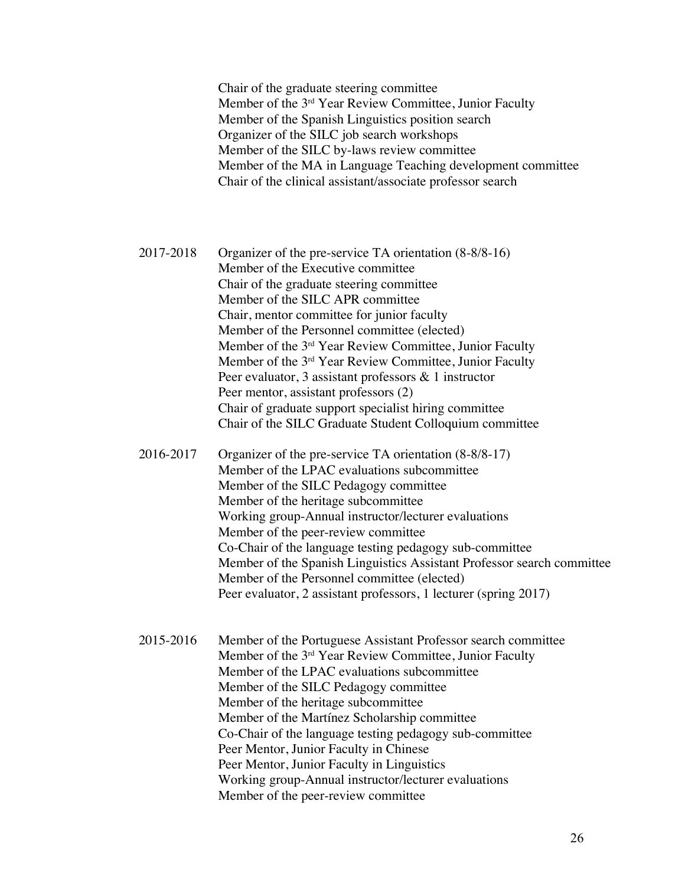Chair of the graduate steering committee Member of the 3rd Year Review Committee, Junior Faculty Member of the Spanish Linguistics position search Organizer of the SILC job search workshops Member of the SILC by-laws review committee Member of the MA in Language Teaching development committee Chair of the clinical assistant/associate professor search

2017-2018 Organizer of the pre-service TA orientation (8-8/8-16) Member of the Executive committee Chair of the graduate steering committee Member of the SILC APR committee Chair, mentor committee for junior faculty Member of the Personnel committee (elected) Member of the 3rd Year Review Committee, Junior Faculty Member of the 3rd Year Review Committee, Junior Faculty Peer evaluator, 3 assistant professors & 1 instructor Peer mentor, assistant professors (2) Chair of graduate support specialist hiring committee Chair of the SILC Graduate Student Colloquium committee

2016-2017 Organizer of the pre-service TA orientation (8-8/8-17) Member of the LPAC evaluations subcommittee Member of the SILC Pedagogy committee Member of the heritage subcommittee Working group-Annual instructor/lecturer evaluations Member of the peer-review committee Co-Chair of the language testing pedagogy sub-committee Member of the Spanish Linguistics Assistant Professor search committee Member of the Personnel committee (elected) Peer evaluator, 2 assistant professors, 1 lecturer (spring 2017)

2015-2016 Member of the Portuguese Assistant Professor search committee Member of the 3rd Year Review Committee, Junior Faculty Member of the LPAC evaluations subcommittee Member of the SILC Pedagogy committee Member of the heritage subcommittee Member of the Martínez Scholarship committee Co-Chair of the language testing pedagogy sub-committee Peer Mentor, Junior Faculty in Chinese Peer Mentor, Junior Faculty in Linguistics Working group-Annual instructor/lecturer evaluations Member of the peer-review committee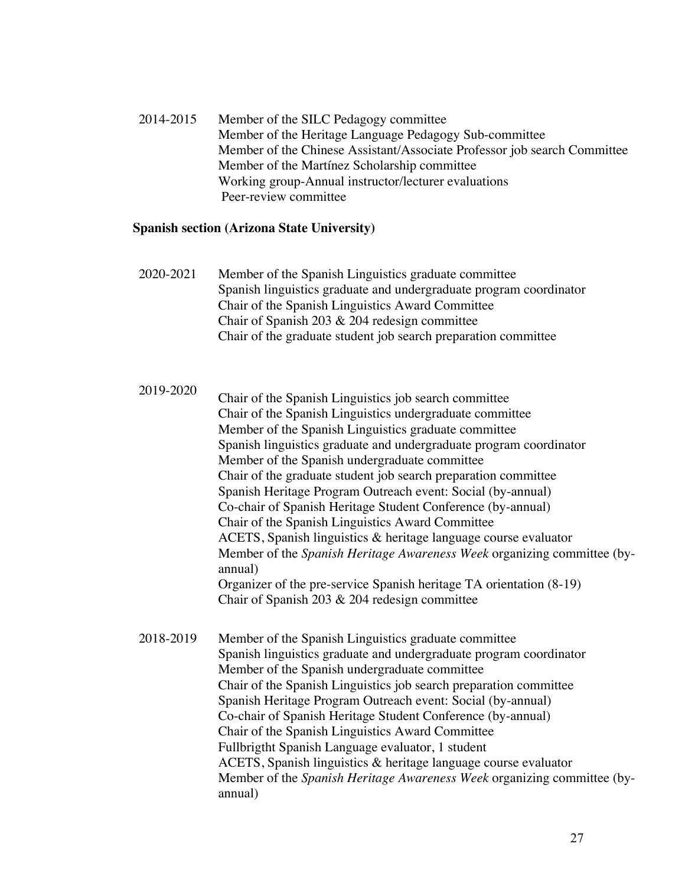2014-2015 Member of the SILC Pedagogy committee Member of the Heritage Language Pedagogy Sub-committee Member of the Chinese Assistant/Associate Professor job search Committee Member of the Martínez Scholarship committee Working group-Annual instructor/lecturer evaluations Peer-review committee

#### **Spanish section (Arizona State University)**

- 2020-2021 Member of the Spanish Linguistics graduate committee Spanish linguistics graduate and undergraduate program coordinator Chair of the Spanish Linguistics Award Committee Chair of Spanish 203 & 204 redesign committee Chair of the graduate student job search preparation committee
- 2019-2020 Chair of the Spanish Linguistics job search committee Chair of the Spanish Linguistics undergraduate committee Member of the Spanish Linguistics graduate committee Spanish linguistics graduate and undergraduate program coordinator Member of the Spanish undergraduate committee Chair of the graduate student job search preparation committee Spanish Heritage Program Outreach event: Social (by-annual) Co-chair of Spanish Heritage Student Conference (by-annual) Chair of the Spanish Linguistics Award Committee ACETS, Spanish linguistics & heritage language course evaluator Member of the *Spanish Heritage Awareness Week* organizing committee (byannual) Organizer of the pre-service Spanish heritage TA orientation (8-19) Chair of Spanish 203 & 204 redesign committee
- 2018-2019 Member of the Spanish Linguistics graduate committee Spanish linguistics graduate and undergraduate program coordinator Member of the Spanish undergraduate committee Chair of the Spanish Linguistics job search preparation committee Spanish Heritage Program Outreach event: Social (by-annual) Co-chair of Spanish Heritage Student Conference (by-annual) Chair of the Spanish Linguistics Award Committee Fullbrigtht Spanish Language evaluator, 1 student ACETS, Spanish linguistics & heritage language course evaluator Member of the *Spanish Heritage Awareness Week* organizing committee (byannual)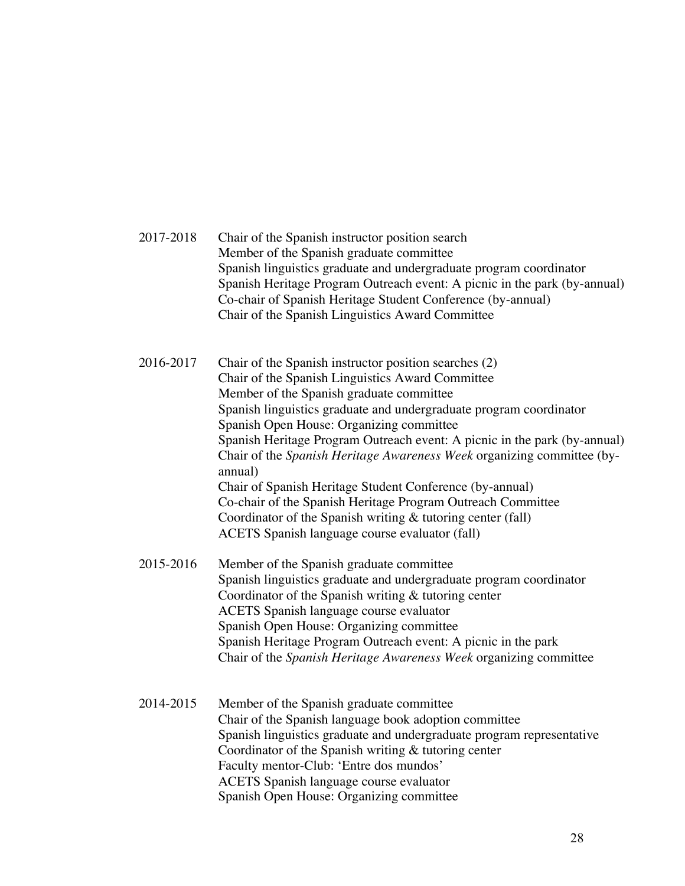| 2017-2018 | Chair of the Spanish instructor position search<br>Member of the Spanish graduate committee<br>Spanish linguistics graduate and undergraduate program coordinator<br>Spanish Heritage Program Outreach event: A picnic in the park (by-annual)<br>Co-chair of Spanish Heritage Student Conference (by-annual)<br>Chair of the Spanish Linguistics Award Committee                                                                                                                                                                                                                                                                                                                     |
|-----------|---------------------------------------------------------------------------------------------------------------------------------------------------------------------------------------------------------------------------------------------------------------------------------------------------------------------------------------------------------------------------------------------------------------------------------------------------------------------------------------------------------------------------------------------------------------------------------------------------------------------------------------------------------------------------------------|
| 2016-2017 | Chair of the Spanish instructor position searches (2)<br>Chair of the Spanish Linguistics Award Committee<br>Member of the Spanish graduate committee<br>Spanish linguistics graduate and undergraduate program coordinator<br>Spanish Open House: Organizing committee<br>Spanish Heritage Program Outreach event: A picnic in the park (by-annual)<br>Chair of the Spanish Heritage Awareness Week organizing committee (by-<br>annual)<br>Chair of Spanish Heritage Student Conference (by-annual)<br>Co-chair of the Spanish Heritage Program Outreach Committee<br>Coordinator of the Spanish writing & tutoring center (fall)<br>ACETS Spanish language course evaluator (fall) |
| 2015-2016 | Member of the Spanish graduate committee<br>Spanish linguistics graduate and undergraduate program coordinator<br>Coordinator of the Spanish writing $&$ tutoring center<br><b>ACETS</b> Spanish language course evaluator<br>Spanish Open House: Organizing committee<br>Spanish Heritage Program Outreach event: A picnic in the park<br>Chair of the Spanish Heritage Awareness Week organizing committee                                                                                                                                                                                                                                                                          |
| 2014-2015 | Member of the Spanish graduate committee<br>Chair of the Spanish language book adoption committee<br>Spanish linguistics graduate and undergraduate program representative<br>Coordinator of the Spanish writing $\&$ tutoring center<br>Faculty mentor-Club: 'Entre dos mundos'<br><b>ACETS</b> Spanish language course evaluator<br>Spanish Open House: Organizing committee                                                                                                                                                                                                                                                                                                        |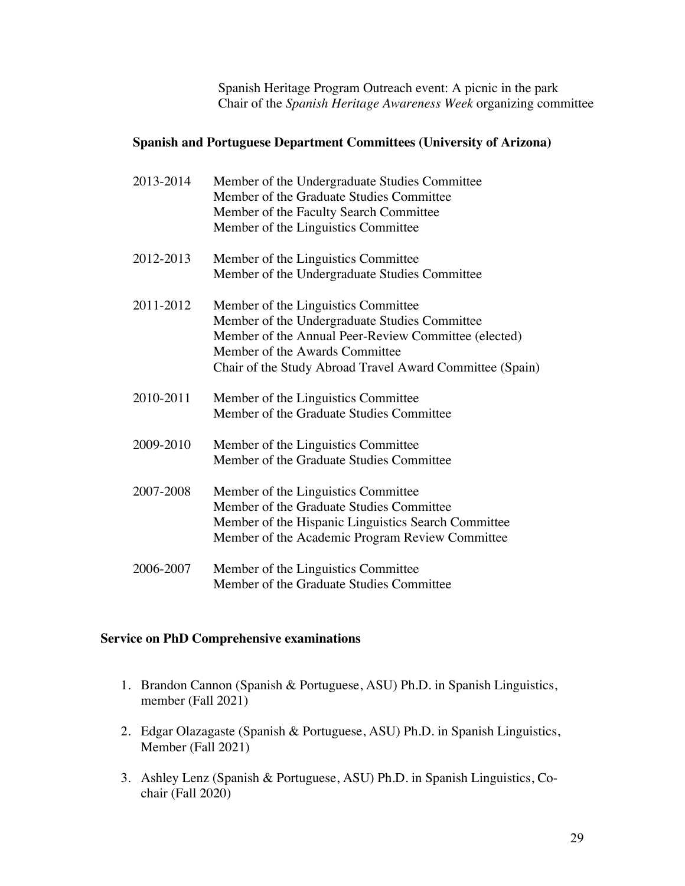Spanish Heritage Program Outreach event: A picnic in the park Chair of the *Spanish Heritage Awareness Week* organizing committee

## **Spanish and Portuguese Department Committees (University of Arizona)**

| 2013-2014 | Member of the Undergraduate Studies Committee<br>Member of the Graduate Studies Committee<br>Member of the Faculty Search Committee<br>Member of the Linguistics Committee                                                                 |
|-----------|--------------------------------------------------------------------------------------------------------------------------------------------------------------------------------------------------------------------------------------------|
| 2012-2013 | Member of the Linguistics Committee<br>Member of the Undergraduate Studies Committee                                                                                                                                                       |
| 2011-2012 | Member of the Linguistics Committee<br>Member of the Undergraduate Studies Committee<br>Member of the Annual Peer-Review Committee (elected)<br>Member of the Awards Committee<br>Chair of the Study Abroad Travel Award Committee (Spain) |
| 2010-2011 | Member of the Linguistics Committee<br>Member of the Graduate Studies Committee                                                                                                                                                            |
| 2009-2010 | Member of the Linguistics Committee<br>Member of the Graduate Studies Committee                                                                                                                                                            |
| 2007-2008 | Member of the Linguistics Committee<br>Member of the Graduate Studies Committee<br>Member of the Hispanic Linguistics Search Committee<br>Member of the Academic Program Review Committee                                                  |
| 2006-2007 | Member of the Linguistics Committee<br>Member of the Graduate Studies Committee                                                                                                                                                            |

## **Service on PhD Comprehensive examinations**

- 1. Brandon Cannon (Spanish & Portuguese, ASU) Ph.D. in Spanish Linguistics, member (Fall 2021)
- 2. Edgar Olazagaste (Spanish & Portuguese, ASU) Ph.D. in Spanish Linguistics, Member (Fall 2021)
- 3. Ashley Lenz (Spanish & Portuguese, ASU) Ph.D. in Spanish Linguistics, Cochair (Fall 2020)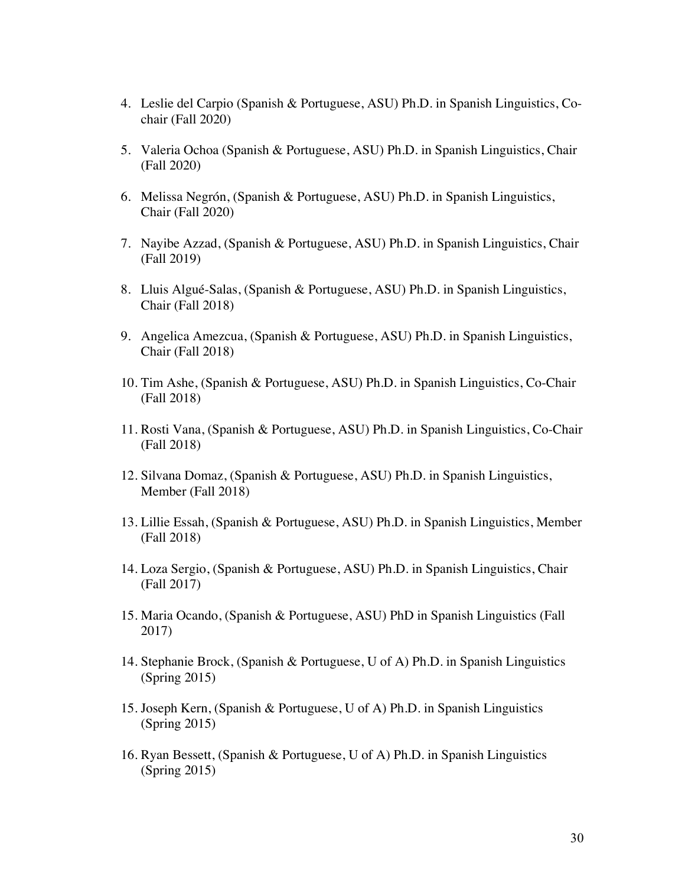- 4. Leslie del Carpio (Spanish & Portuguese, ASU) Ph.D. in Spanish Linguistics, Cochair (Fall 2020)
- 5. Valeria Ochoa (Spanish & Portuguese, ASU) Ph.D. in Spanish Linguistics, Chair (Fall 2020)
- 6. Melissa Negrón, (Spanish & Portuguese, ASU) Ph.D. in Spanish Linguistics, Chair (Fall 2020)
- 7. Nayibe Azzad, (Spanish & Portuguese, ASU) Ph.D. in Spanish Linguistics, Chair (Fall 2019)
- 8. Lluis Algué-Salas, (Spanish & Portuguese, ASU) Ph.D. in Spanish Linguistics, Chair (Fall 2018)
- 9. Angelica Amezcua, (Spanish & Portuguese, ASU) Ph.D. in Spanish Linguistics, Chair (Fall 2018)
- 10. Tim Ashe, (Spanish & Portuguese, ASU) Ph.D. in Spanish Linguistics, Co-Chair (Fall 2018)
- 11. Rosti Vana, (Spanish & Portuguese, ASU) Ph.D. in Spanish Linguistics, Co-Chair (Fall 2018)
- 12. Silvana Domaz, (Spanish & Portuguese, ASU) Ph.D. in Spanish Linguistics, Member (Fall 2018)
- 13. Lillie Essah, (Spanish & Portuguese, ASU) Ph.D. in Spanish Linguistics, Member (Fall 2018)
- 14. Loza Sergio, (Spanish & Portuguese, ASU) Ph.D. in Spanish Linguistics, Chair (Fall 2017)
- 15. Maria Ocando, (Spanish & Portuguese, ASU) PhD in Spanish Linguistics (Fall 2017)
- 14. Stephanie Brock, (Spanish & Portuguese, U of A) Ph.D. in Spanish Linguistics (Spring 2015)
- 15. Joseph Kern, (Spanish & Portuguese, U of A) Ph.D. in Spanish Linguistics (Spring 2015)
- 16. Ryan Bessett, (Spanish & Portuguese, U of A) Ph.D. in Spanish Linguistics (Spring 2015)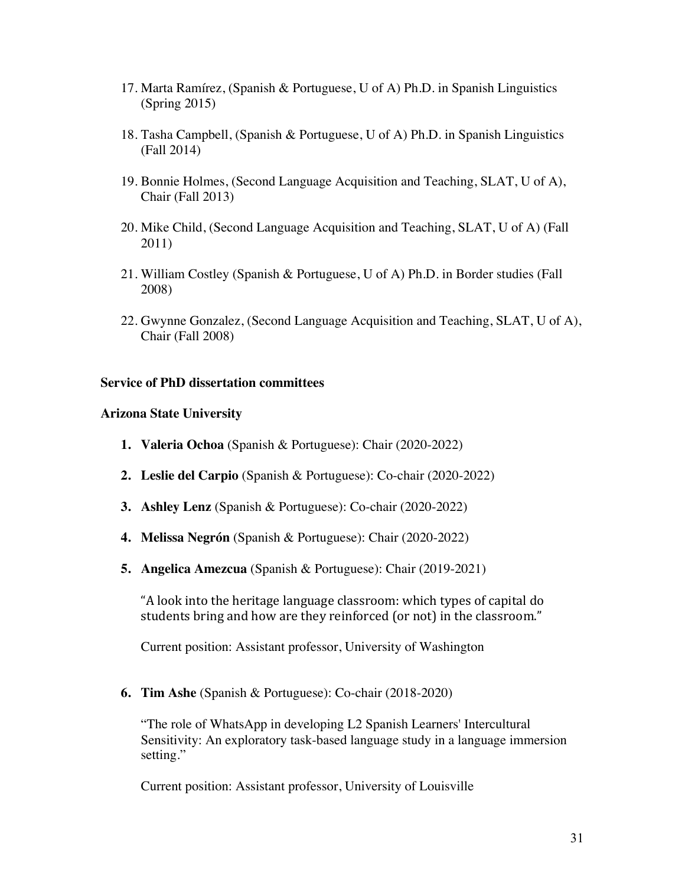- 17. Marta Ramírez, (Spanish & Portuguese, U of A) Ph.D. in Spanish Linguistics (Spring 2015)
- 18. Tasha Campbell, (Spanish & Portuguese, U of A) Ph.D. in Spanish Linguistics (Fall 2014)
- 19. Bonnie Holmes, (Second Language Acquisition and Teaching, SLAT, U of A), Chair (Fall 2013)
- 20. Mike Child, (Second Language Acquisition and Teaching, SLAT, U of A) (Fall 2011)
- 21. William Costley (Spanish & Portuguese, U of A) Ph.D. in Border studies (Fall 2008)
- 22. Gwynne Gonzalez, (Second Language Acquisition and Teaching, SLAT, U of A), Chair (Fall 2008)

## **Service of PhD dissertation committees**

## **Arizona State University**

- **1. Valeria Ochoa** (Spanish & Portuguese): Chair (2020-2022)
- **2. Leslie del Carpio** (Spanish & Portuguese): Co-chair (2020-2022)
- **3. Ashley Lenz** (Spanish & Portuguese): Co-chair (2020-2022)
- **4. Melissa Negrón** (Spanish & Portuguese): Chair (2020-2022)
- **5. Angelica Amezcua** (Spanish & Portuguese): Chair (2019-2021)

"A look into the heritage language classroom: which types of capital do students bring and how are they reinforced (or not) in the classroom."

Current position: Assistant professor, University of Washington

**6. Tim Ashe** (Spanish & Portuguese): Co-chair (2018-2020)

"The role of WhatsApp in developing L2 Spanish Learners' Intercultural Sensitivity: An exploratory task-based language study in a language immersion setting."

Current position: Assistant professor, University of Louisville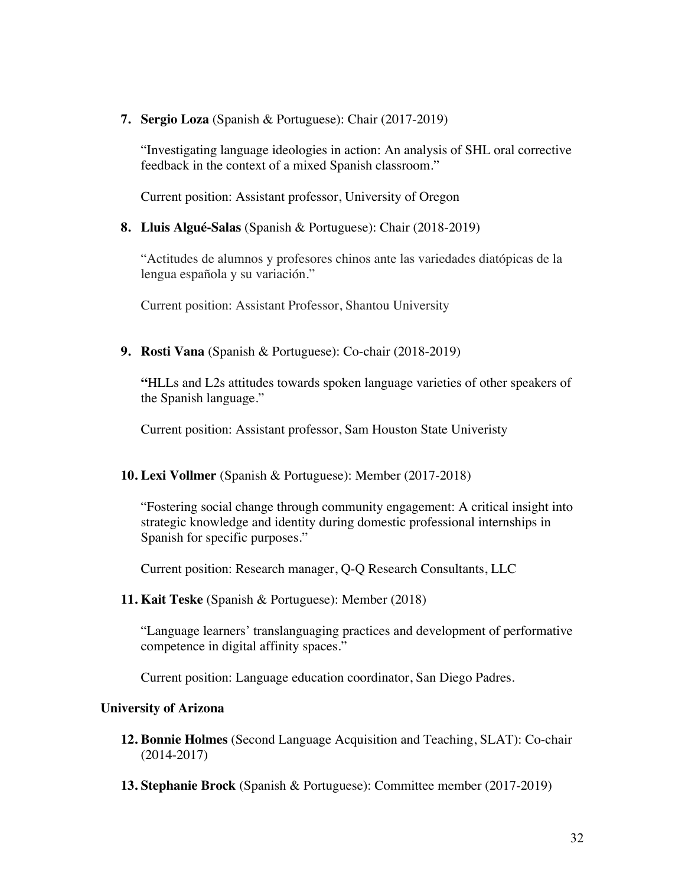**7. Sergio Loza** (Spanish & Portuguese): Chair (2017-2019)

"Investigating language ideologies in action: An analysis of SHL oral corrective feedback in the context of a mixed Spanish classroom."

Current position: Assistant professor, University of Oregon

## **8. Lluis Algué-Salas** (Spanish & Portuguese): Chair (2018-2019)

"Actitudes de alumnos y profesores chinos ante las variedades diatópicas de la lengua española y su variación."

Current position: Assistant Professor, Shantou University

**9. Rosti Vana** (Spanish & Portuguese): Co-chair (2018-2019)

**"**HLLs and L2s attitudes towards spoken language varieties of other speakers of the Spanish language."

Current position: Assistant professor, Sam Houston State Univeristy

#### **10. Lexi Vollmer** (Spanish & Portuguese): Member (2017-2018)

"Fostering social change through community engagement: A critical insight into strategic knowledge and identity during domestic professional internships in Spanish for specific purposes."

Current position: Research manager, Q-Q Research Consultants, LLC

## **11. Kait Teske** (Spanish & Portuguese): Member (2018)

"Language learners' translanguaging practices and development of performative competence in digital affinity spaces."

Current position: Language education coordinator, San Diego Padres.

#### **University of Arizona**

- **12. Bonnie Holmes** (Second Language Acquisition and Teaching, SLAT): Co-chair (2014-2017)
- **13. Stephanie Brock** (Spanish & Portuguese): Committee member (2017-2019)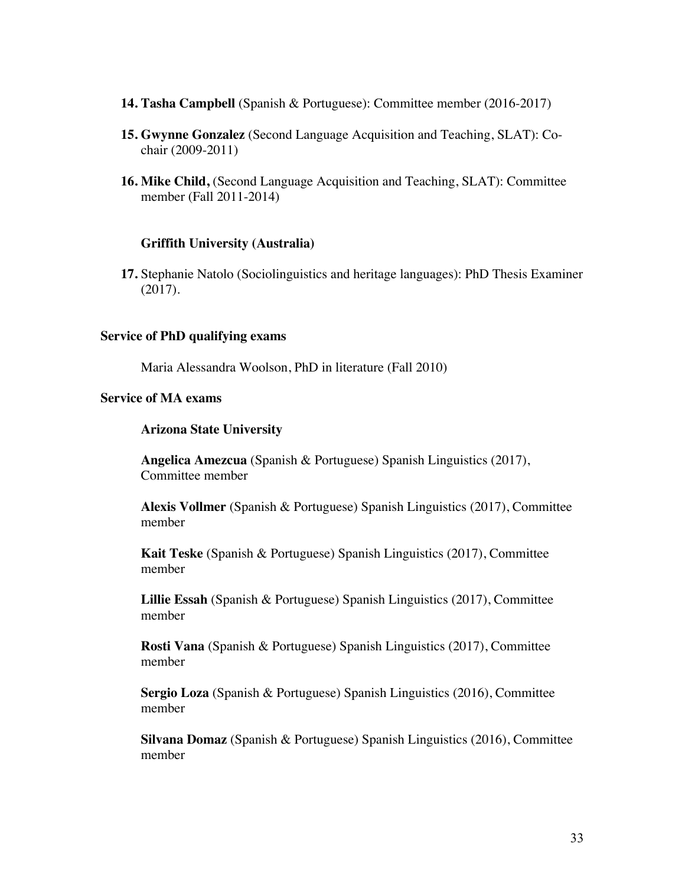- **14. Tasha Campbell** (Spanish & Portuguese): Committee member (2016-2017)
- **15. Gwynne Gonzalez** (Second Language Acquisition and Teaching, SLAT): Cochair (2009-2011)
- **16. Mike Child,** (Second Language Acquisition and Teaching, SLAT): Committee member (Fall 2011-2014)

#### **Griffith University (Australia)**

**17.** Stephanie Natolo (Sociolinguistics and heritage languages): PhD Thesis Examiner (2017).

#### **Service of PhD qualifying exams**

Maria Alessandra Woolson, PhD in literature (Fall 2010)

#### **Service of MA exams**

#### **Arizona State University**

**Angelica Amezcua** (Spanish & Portuguese) Spanish Linguistics (2017), Committee member

**Alexis Vollmer** (Spanish & Portuguese) Spanish Linguistics (2017), Committee member

**Kait Teske** (Spanish & Portuguese) Spanish Linguistics (2017), Committee member

**Lillie Essah** (Spanish & Portuguese) Spanish Linguistics (2017), Committee member

**Rosti Vana** (Spanish & Portuguese) Spanish Linguistics (2017), Committee member

**Sergio Loza** (Spanish & Portuguese) Spanish Linguistics (2016), Committee member

**Silvana Domaz** (Spanish & Portuguese) Spanish Linguistics (2016), Committee member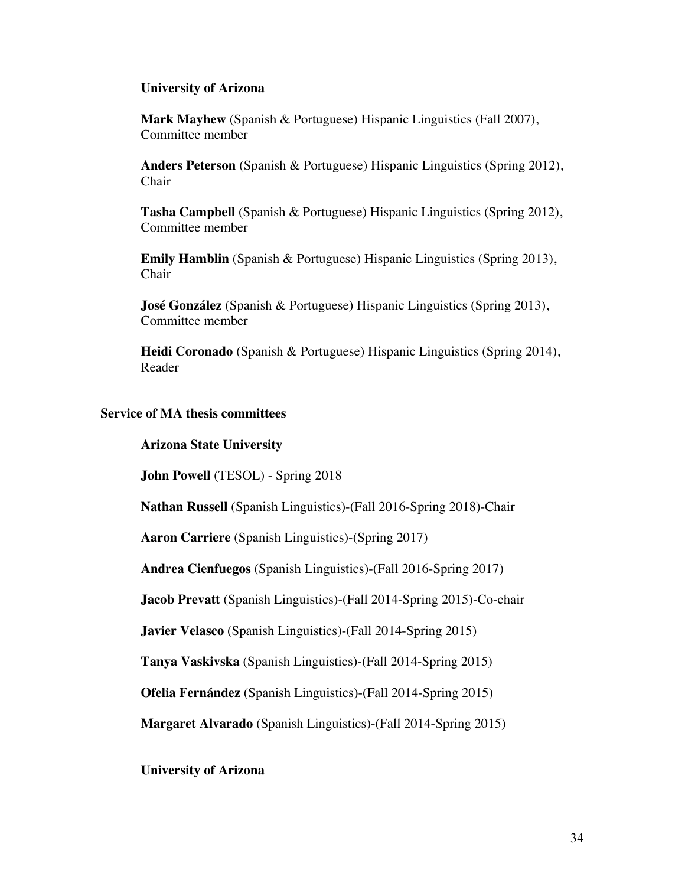#### **University of Arizona**

**Mark Mayhew** (Spanish & Portuguese) Hispanic Linguistics (Fall 2007), Committee member

**Anders Peterson** (Spanish & Portuguese) Hispanic Linguistics (Spring 2012), Chair

**Tasha Campbell** (Spanish & Portuguese) Hispanic Linguistics (Spring 2012), Committee member

**Emily Hamblin** (Spanish & Portuguese) Hispanic Linguistics (Spring 2013), Chair

**José González** (Spanish & Portuguese) Hispanic Linguistics (Spring 2013), Committee member

**Heidi Coronado** (Spanish & Portuguese) Hispanic Linguistics (Spring 2014), Reader

#### **Service of MA thesis committees**

#### **Arizona State University**

**John Powell** (TESOL) - Spring 2018

**Nathan Russell** (Spanish Linguistics)-(Fall 2016-Spring 2018)-Chair

**Aaron Carriere** (Spanish Linguistics)-(Spring 2017)

**Andrea Cienfuegos** (Spanish Linguistics)-(Fall 2016-Spring 2017)

**Jacob Prevatt** (Spanish Linguistics)-(Fall 2014-Spring 2015)-Co-chair

**Javier Velasco** (Spanish Linguistics)-(Fall 2014-Spring 2015)

**Tanya Vaskivska** (Spanish Linguistics)-(Fall 2014-Spring 2015)

**Ofelia Fernández** (Spanish Linguistics)-(Fall 2014-Spring 2015)

**Margaret Alvarado** (Spanish Linguistics)-(Fall 2014-Spring 2015)

#### **University of Arizona**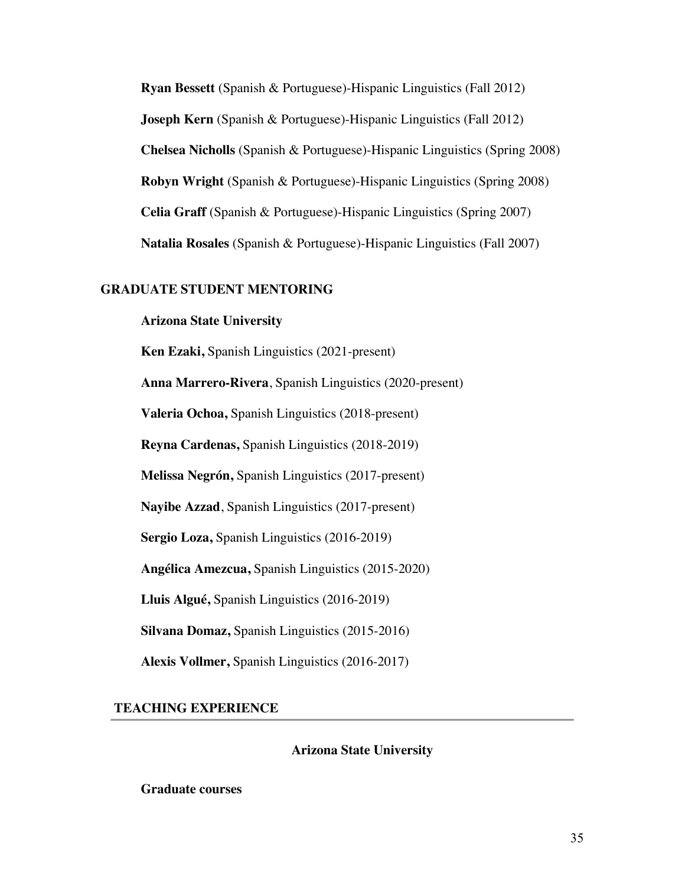**Ryan Bessett** (Spanish & Portuguese)-Hispanic Linguistics (Fall 2012) **Joseph Kern** (Spanish & Portuguese)-Hispanic Linguistics (Fall 2012) **Chelsea Nicholls** (Spanish & Portuguese)-Hispanic Linguistics (Spring 2008) **Robyn Wright** (Spanish & Portuguese)-Hispanic Linguistics (Spring 2008) **Celia Graff** (Spanish & Portuguese)-Hispanic Linguistics (Spring 2007) **Natalia Rosales** (Spanish & Portuguese)-Hispanic Linguistics (Fall 2007)

## **GRADUATE STUDENT MENTORING**

## **Arizona State University**

**Ken Ezaki,** Spanish Linguistics (2021-present) **Anna Marrero-Rivera**, Spanish Linguistics (2020-present) **Valeria Ochoa,** Spanish Linguistics (2018-present) **Reyna Cardenas,** Spanish Linguistics (2018-2019) **Melissa Negrón,** Spanish Linguistics (2017-present) **Nayibe Azzad**, Spanish Linguistics (2017-present) **Sergio Loza,** Spanish Linguistics (2016-2019) **Angélica Amezcua,** Spanish Linguistics (2015-2020) **Lluis Algué,** Spanish Linguistics (2016-2019) **Silvana Domaz,** Spanish Linguistics (2015-2016) **Alexis Vollmer,** Spanish Linguistics (2016-2017)

 **TEACHING EXPERIENCE**

**Arizona State University**

**Graduate courses**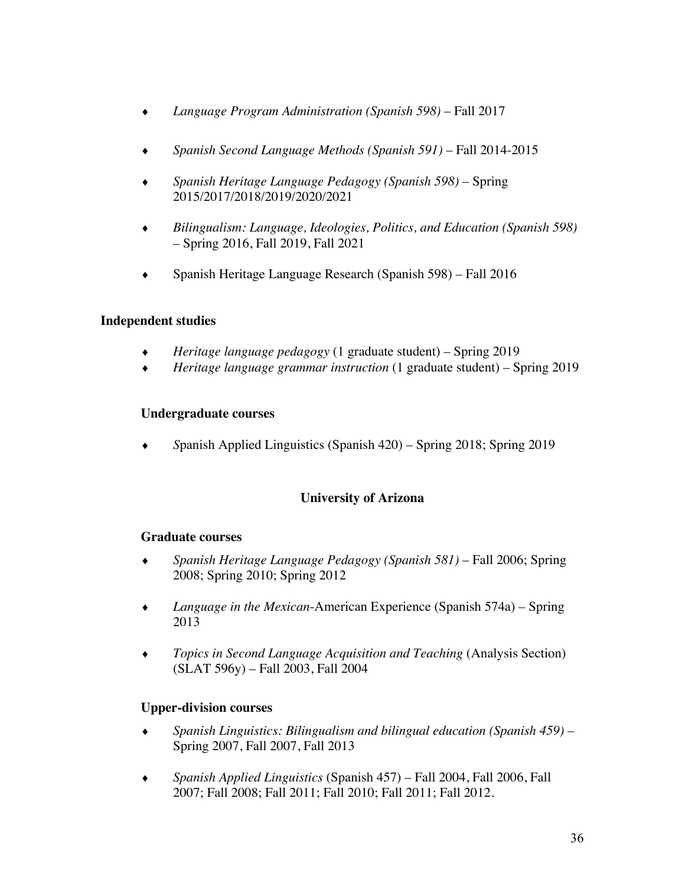- ¨ *Language Program Administration (Spanish 598)* Fall 2017
- ¨ *Spanish Second Language Methods (Spanish 591)* Fall 2014-2015
- ¨ *Spanish Heritage Language Pedagogy (Spanish 598)* Spring 2015/2017/2018/2019/2020/2021
- ¨ *Bilingualism: Language, Ideologies, Politics, and Education (Spanish 598)* – Spring 2016, Fall 2019, Fall 2021
- Spanish Heritage Language Research (Spanish  $598$ ) Fall 2016

# **Independent studies**

- ¨ *Heritage language pedagogy* (1 graduate student) Spring 2019
- ¨ *Heritage language grammar instruction* (1 graduate student) Spring 2019

## **Undergraduate courses**

¨ *S*panish Applied Linguistics (Spanish 420) – Spring 2018; Spring 2019

# **University of Arizona**

## **Graduate courses**

- ¨ *Spanish Heritage Language Pedagogy (Spanish 581)* Fall 2006; Spring 2008; Spring 2010; Spring 2012
- *Language in the Mexican*-American Experience (Spanish 574a) Spring 2013
- ¨ *Topics in Second Language Acquisition and Teaching* (Analysis Section) (SLAT 596y) – Fall 2003, Fall 2004

# **Upper-division courses**

- ¨ *Spanish Linguistics: Bilingualism and bilingual education (Spanish 459)* Spring 2007, Fall 2007, Fall 2013
- ¨ *Spanish Applied Linguistics* (Spanish 457) Fall 2004, Fall 2006, Fall 2007; Fall 2008; Fall 2011; Fall 2010; Fall 2011; Fall 2012.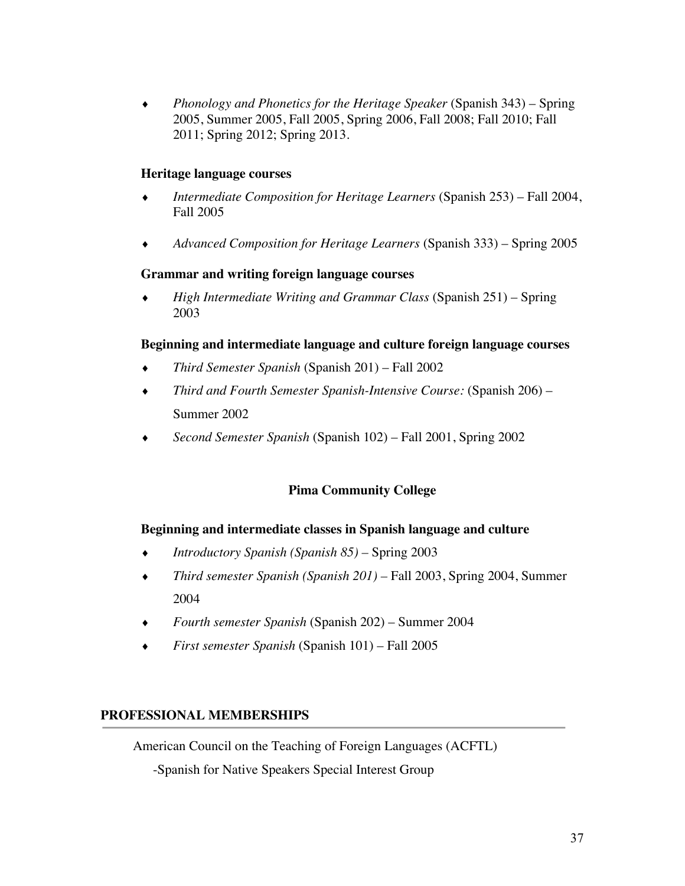¨ *Phonology and Phonetics for the Heritage Speaker* (Spanish 343) – Spring 2005, Summer 2005, Fall 2005, Spring 2006, Fall 2008; Fall 2010; Fall 2011; Spring 2012; Spring 2013.

## **Heritage language courses**

- ¨ *Intermediate Composition for Heritage Learners* (Spanish 253) Fall 2004, Fall 2005
- ¨ *Advanced Composition for Heritage Learners* (Spanish 333) Spring 2005

## **Grammar and writing foreign language courses**

¨ *High Intermediate Writing and Grammar Class* (Spanish 251) – Spring 2003

## **Beginning and intermediate language and culture foreign language courses**

- ¨ *Third Semester Spanish* (Spanish 201) Fall 2002
- ¨ *Third and Fourth Semester Spanish-Intensive Course:* (Spanish 206) Summer 2002
- ¨ *Second Semester Spanish* (Spanish 102) Fall 2001, Spring 2002

# **Pima Community College**

## **Beginning and intermediate classes in Spanish language and culture**

- ¨ *Introductory Spanish (Spanish 85) –* Spring 2003
- *Third semester Spanish (Spanish 201)* Fall 2003, Spring 2004, Summer 2004
- ¨ *Fourth semester Spanish* (Spanish 202) Summer 2004
- ¨ *First semester Spanish* (Spanish 101) Fall 2005

## **PROFESSIONAL MEMBERSHIPS**

American Council on the Teaching of Foreign Languages (ACFTL)

-Spanish for Native Speakers Special Interest Group